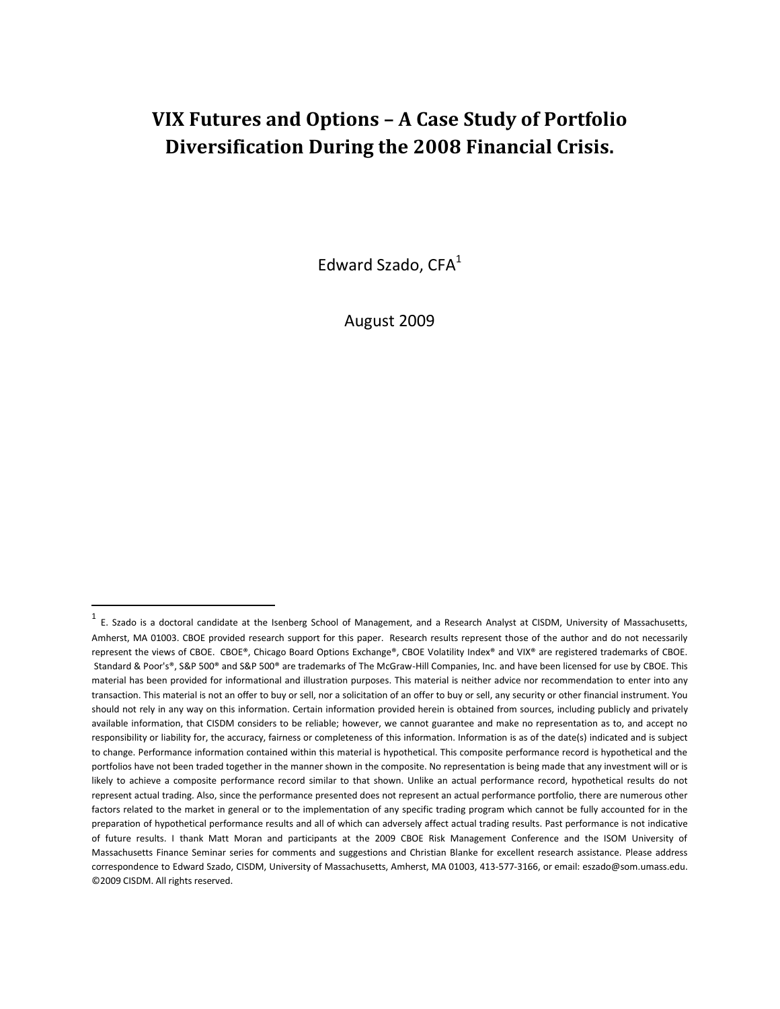# **VIX Futures and Options – A Case Study of Portfolio Diversification During the 2008 Financial Crisis.**

Edward Szado, CFA<sup>1</sup>

August 2009

 $\overline{a}$ 

 $^1$  E. Szado is a doctoral candidate at the Isenberg School of Management, and a Research Analyst at CISDM, University of Massachusetts, Amherst, MA 01003. CBOE provided research support for this paper. Research results represent those of the author and do not necessarily represent the views of CBOE. CBOE®, Chicago Board Options Exchange®, CBOE Volatility Index® and VIX® are registered trademarks of CBOE. Standard & Poor's®, S&P 500® and S&P 500® are trademarks of The McGraw-Hill Companies, Inc. and have been licensed for use by CBOE. This material has been provided for informational and illustration purposes. This material is neither advice nor recommendation to enter into any transaction. This material is not an offer to buy or sell, nor a solicitation of an offer to buy or sell, any security or other financial instrument. You should not rely in any way on this information. Certain information provided herein is obtained from sources, including publicly and privately available information, that CISDM considers to be reliable; however, we cannot guarantee and make no representation as to, and accept no responsibility or liability for, the accuracy, fairness or completeness of this information. Information is as of the date(s) indicated and is subject to change. Performance information contained within this material is hypothetical. This composite performance record is hypothetical and the portfolios have not been traded together in the manner shown in the composite. No representation is being made that any investment will or is likely to achieve a composite performance record similar to that shown. Unlike an actual performance record, hypothetical results do not represent actual trading. Also, since the performance presented does not represent an actual performance portfolio, there are numerous other factors related to the market in general or to the implementation of any specific trading program which cannot be fully accounted for in the preparation of hypothetical performance results and all of which can adversely affect actual trading results. Past performance is not indicative of future results. I thank Matt Moran and participants at the 2009 CBOE Risk Management Conference and the ISOM University of Massachusetts Finance Seminar series for comments and suggestions and Christian Blanke for excellent research assistance. Please address correspondence to Edward Szado, CISDM, University of Massachusetts, Amherst, MA 01003, 413-577-3166, or email: eszado@som.umass.edu. ©2009 CISDM. All rights reserved.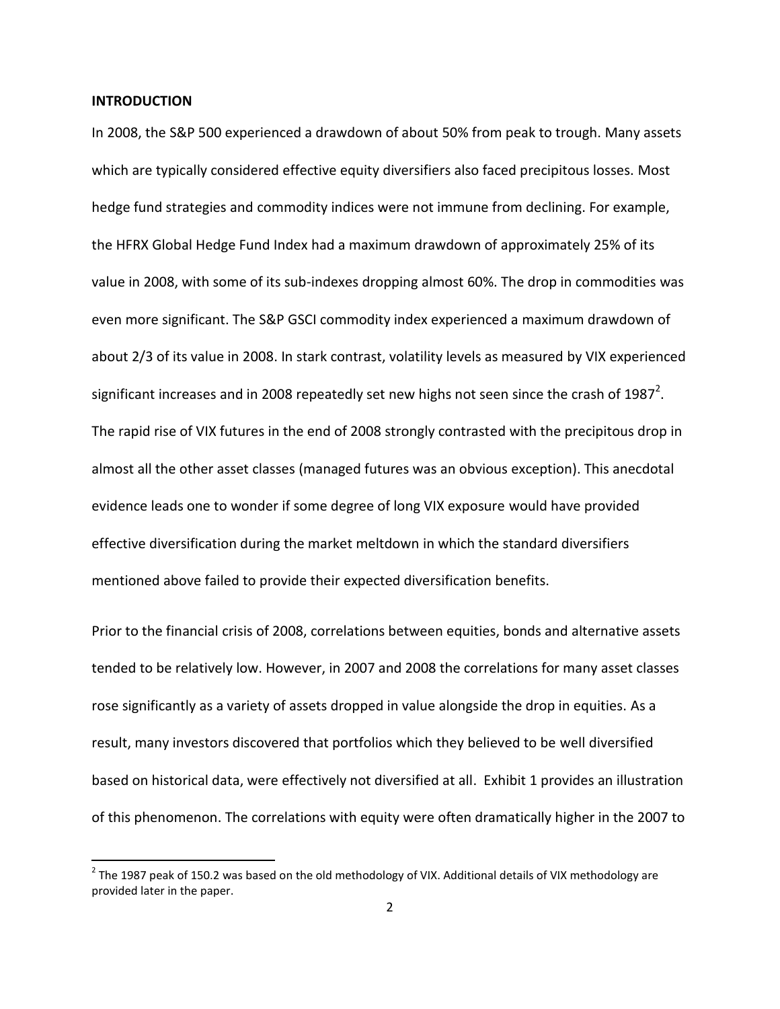#### **INTRODUCTION**

 $\overline{\phantom{a}}$ 

In 2008, the S&P 500 experienced a drawdown of about 50% from peak to trough. Many assets which are typically considered effective equity diversifiers also faced precipitous losses. Most hedge fund strategies and commodity indices were not immune from declining. For example, the HFRX Global Hedge Fund Index had a maximum drawdown of approximately 25% of its value in 2008, with some of its sub-indexes dropping almost 60%. The drop in commodities was even more significant. The S&P GSCI commodity index experienced a maximum drawdown of about 2/3 of its value in 2008. In stark contrast, volatility levels as measured by VIX experienced significant increases and in 2008 repeatedly set new highs not seen since the crash of 1987<sup>2</sup>. The rapid rise of VIX futures in the end of 2008 strongly contrasted with the precipitous drop in almost all the other asset classes (managed futures was an obvious exception). This anecdotal evidence leads one to wonder if some degree of long VIX exposure would have provided effective diversification during the market meltdown in which the standard diversifiers mentioned above failed to provide their expected diversification benefits.

Prior to the financial crisis of 2008, correlations between equities, bonds and alternative assets tended to be relatively low. However, in 2007 and 2008 the correlations for many asset classes rose significantly as a variety of assets dropped in value alongside the drop in equities. As a result, many investors discovered that portfolios which they believed to be well diversified based on historical data, were effectively not diversified at all. Exhibit 1 provides an illustration of this phenomenon. The correlations with equity were often dramatically higher in the 2007 to

 $^{2}$  The 1987 peak of 150.2 was based on the old methodology of VIX. Additional details of VIX methodology are provided later in the paper.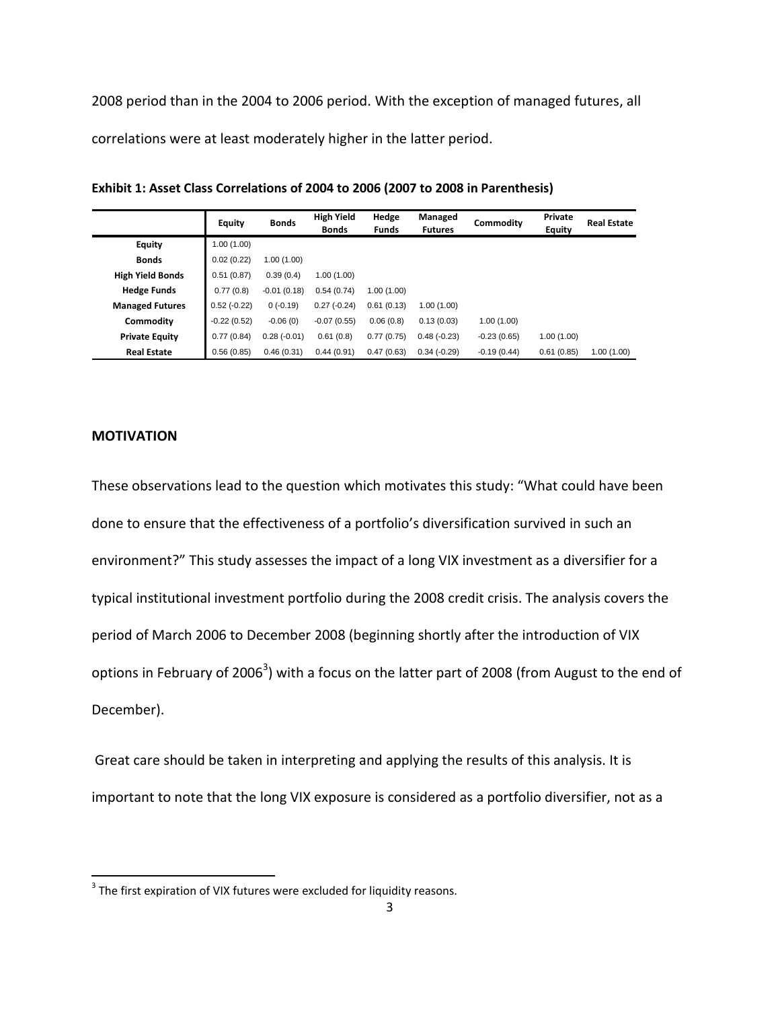2008 period than in the 2004 to 2006 period. With the exception of managed futures, all correlations were at least moderately higher in the latter period.

|                         | <b>Equity</b> | <b>Bonds</b>  | <b>High Yield</b><br><b>Bonds</b> | Hedge<br><b>Funds</b> | Managed<br><b>Futures</b> | Commodity     | Private<br><b>Equity</b> | <b>Real Estate</b> |
|-------------------------|---------------|---------------|-----------------------------------|-----------------------|---------------------------|---------------|--------------------------|--------------------|
| <b>Equity</b>           | 1.00(1.00)    |               |                                   |                       |                           |               |                          |                    |
| <b>Bonds</b>            | 0.02(0.22)    | 1.00(1.00)    |                                   |                       |                           |               |                          |                    |
| <b>High Yield Bonds</b> | 0.51(0.87)    | 0.39(0.4)     | 1.00(1.00)                        |                       |                           |               |                          |                    |
| <b>Hedge Funds</b>      | 0.77(0.8)     | $-0.01(0.18)$ | 0.54(0.74)                        | 1.00(1.00)            |                           |               |                          |                    |
| <b>Managed Futures</b>  | $0.52(-0.22)$ | 0(.0.19)      | $0.27(-0.24)$                     | 0.61(0.13)            | 1.00(1.00)                |               |                          |                    |
| Commodity               | $-0.22(0.52)$ | $-0.06(0)$    | $-0.07(0.55)$                     | 0.06(0.8)             | 0.13(0.03)                | 1.00(1.00)    |                          |                    |
| <b>Private Equity</b>   | 0.77(0.84)    | $0.28(-0.01)$ | 0.61(0.8)                         | 0.77(0.75)            | $0.48(-0.23)$             | $-0.23(0.65)$ | 1.00(1.00)               |                    |
| <b>Real Estate</b>      | 0.56(0.85)    | 0.46(0.31)    | 0.44(0.91)                        | 0.47(0.63)            | $0.34(-0.29)$             | $-0.19(0.44)$ | 0.61(0.85)               | 1.00(1.00)         |

**Exhibit 1: Asset Class Correlations of 2004 to 2006 (2007 to 2008 in Parenthesis)**

### **MOTIVATION**

These observations lead to the question which motivates this study: "What could have been done to ensure that the effectiveness of a portfolio's diversification survived in such an environment?" This study assesses the impact of a long VIX investment as a diversifier for a typical institutional investment portfolio during the 2008 credit crisis. The analysis covers the period of March 2006 to December 2008 (beginning shortly after the introduction of VIX options in February of 2006<sup>3</sup>) with a focus on the latter part of 2008 (from August to the end of December).

Great care should be taken in interpreting and applying the results of this analysis. It is important to note that the long VIX exposure is considered as a portfolio diversifier, not as a

 3 The first expiration of VIX futures were excluded for liquidity reasons.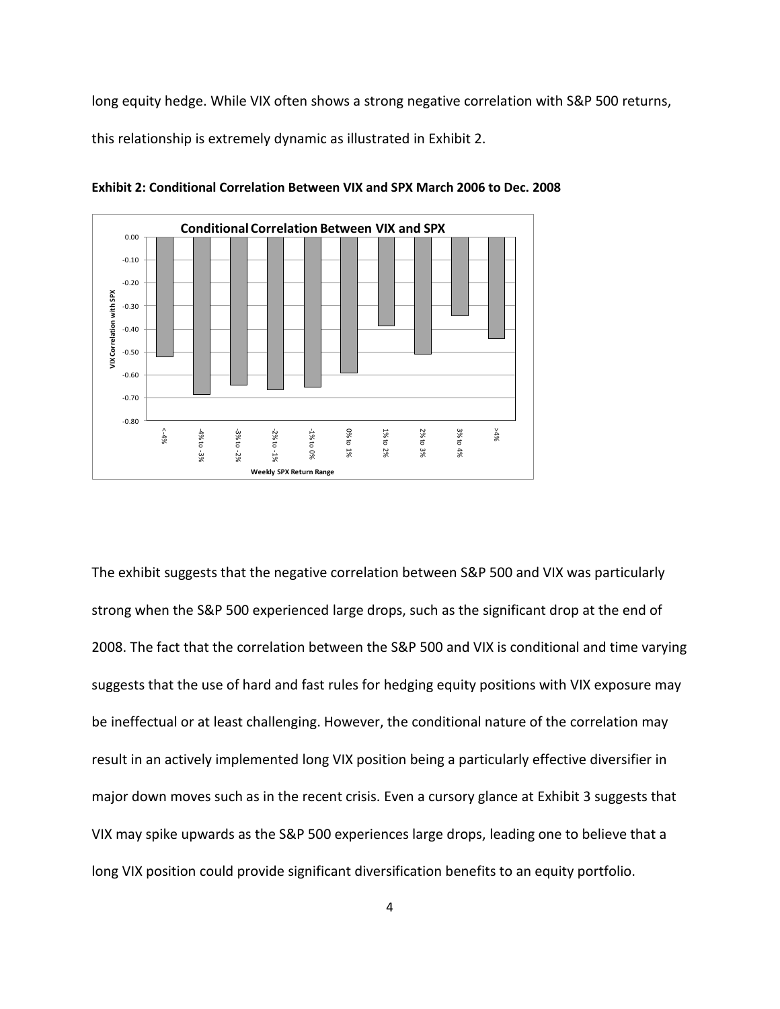long equity hedge. While VIX often shows a strong negative correlation with S&P 500 returns,

this relationship is extremely dynamic as illustrated in Exhibit 2.



**Exhibit 2: Conditional Correlation Between VIX and SPX March 2006 to Dec. 2008**

The exhibit suggests that the negative correlation between S&P 500 and VIX was particularly strong when the S&P 500 experienced large drops, such as the significant drop at the end of 2008. The fact that the correlation between the S&P 500 and VIX is conditional and time varying suggests that the use of hard and fast rules for hedging equity positions with VIX exposure may be ineffectual or at least challenging. However, the conditional nature of the correlation may result in an actively implemented long VIX position being a particularly effective diversifier in major down moves such as in the recent crisis. Even a cursory glance at Exhibit 3 suggests that VIX may spike upwards as the S&P 500 experiences large drops, leading one to believe that a long VIX position could provide significant diversification benefits to an equity portfolio.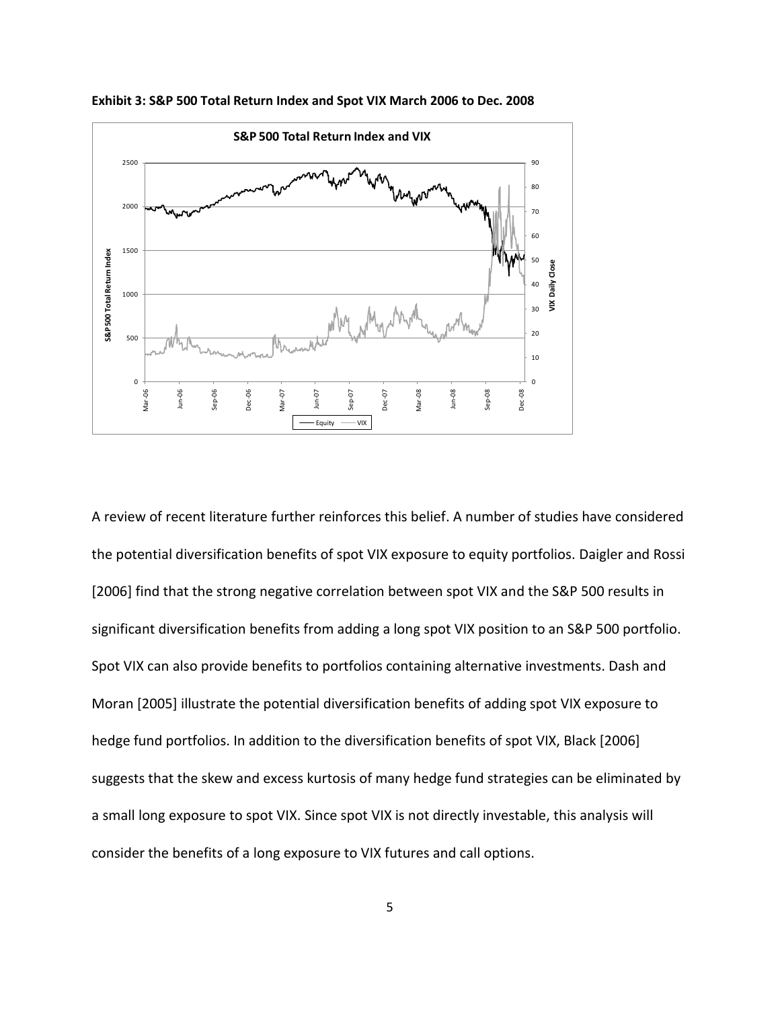

**Exhibit 3: S&P 500 Total Return Index and Spot VIX March 2006 to Dec. 2008**

A review of recent literature further reinforces this belief. A number of studies have considered the potential diversification benefits of spot VIX exposure to equity portfolios. Daigler and Rossi [2006] find that the strong negative correlation between spot VIX and the S&P 500 results in significant diversification benefits from adding a long spot VIX position to an S&P 500 portfolio. Spot VIX can also provide benefits to portfolios containing alternative investments. Dash and Moran [2005] illustrate the potential diversification benefits of adding spot VIX exposure to hedge fund portfolios. In addition to the diversification benefits of spot VIX, Black [2006] suggests that the skew and excess kurtosis of many hedge fund strategies can be eliminated by a small long exposure to spot VIX. Since spot VIX is not directly investable, this analysis will consider the benefits of a long exposure to VIX futures and call options.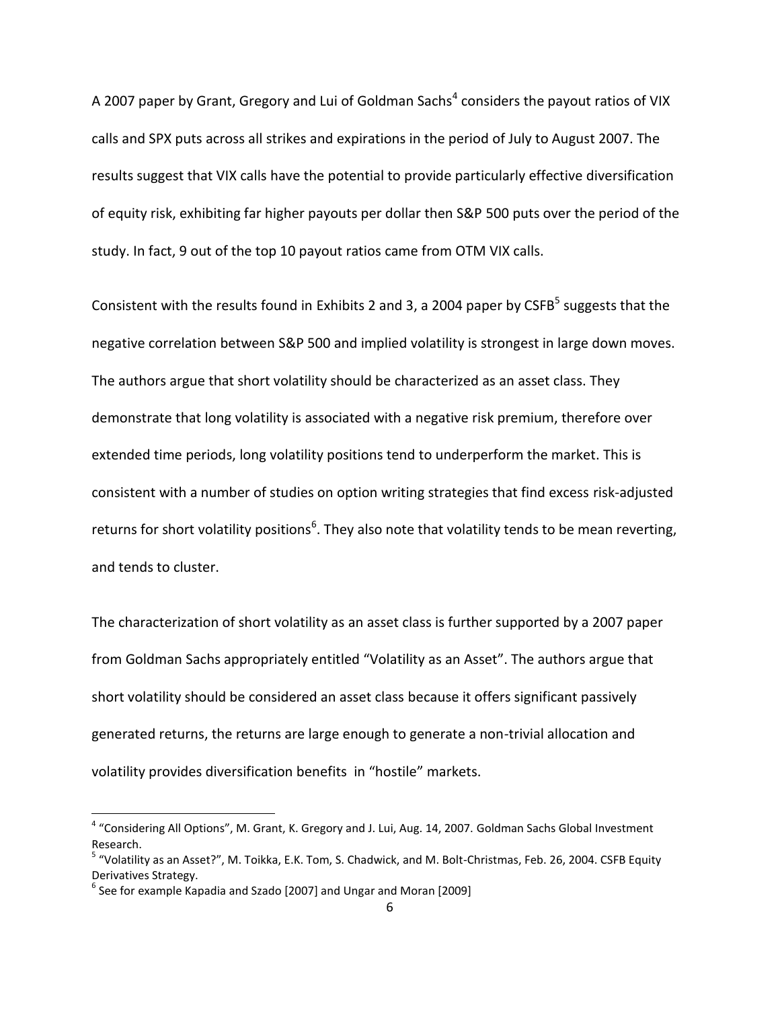A 2007 paper by Grant, Gregory and Lui of Goldman Sachs<sup>4</sup> considers the payout ratios of VIX calls and SPX puts across all strikes and expirations in the period of July to August 2007. The results suggest that VIX calls have the potential to provide particularly effective diversification of equity risk, exhibiting far higher payouts per dollar then S&P 500 puts over the period of the study. In fact, 9 out of the top 10 payout ratios came from OTM VIX calls.

Consistent with the results found in Exhibits 2 and 3, a 2004 paper by CSFB<sup>5</sup> suggests that the negative correlation between S&P 500 and implied volatility is strongest in large down moves. The authors argue that short volatility should be characterized as an asset class. They demonstrate that long volatility is associated with a negative risk premium, therefore over extended time periods, long volatility positions tend to underperform the market. This is consistent with a number of studies on option writing strategies that find excess risk-adjusted returns for short volatility positions<sup>6</sup>. They also note that volatility tends to be mean reverting, and tends to cluster.

The characterization of short volatility as an asset class is further supported by a 2007 paper from Goldman Sachs appropriately entitled "Volatility as an Asset". The authors argue that short volatility should be considered an asset class because it offers significant passively generated returns, the returns are large enough to generate a non-trivial allocation and volatility provides diversification benefits in "hostile" markets.

 $\overline{\phantom{a}}$ 

<sup>&</sup>lt;sup>4</sup> "Considering All Options", M. Grant, K. Gregory and J. Lui, Aug. 14, 2007. Goldman Sachs Global Investment Research.

<sup>&</sup>lt;sup>5</sup> "Volatility as an Asset?", M. Toikka, E.K. Tom, S. Chadwick, and M. Bolt-Christmas, Feb. 26, 2004. CSFB Equity Derivatives Strategy.

 $^6$  See for example Kapadia and Szado [2007] and Ungar and Moran [2009]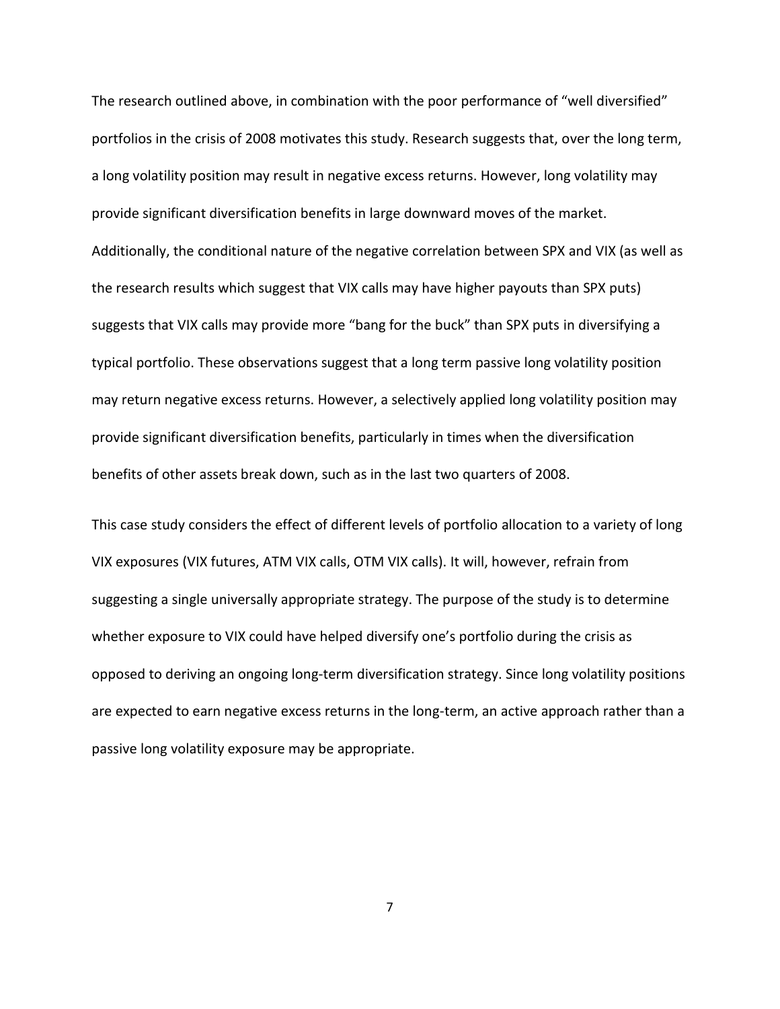The research outlined above, in combination with the poor performance of "well diversified" portfolios in the crisis of 2008 motivates this study. Research suggests that, over the long term, a long volatility position may result in negative excess returns. However, long volatility may provide significant diversification benefits in large downward moves of the market. Additionally, the conditional nature of the negative correlation between SPX and VIX (as well as the research results which suggest that VIX calls may have higher payouts than SPX puts) suggests that VIX calls may provide more "bang for the buck" than SPX puts in diversifying a typical portfolio. These observations suggest that a long term passive long volatility position may return negative excess returns. However, a selectively applied long volatility position may provide significant diversification benefits, particularly in times when the diversification benefits of other assets break down, such as in the last two quarters of 2008.

This case study considers the effect of different levels of portfolio allocation to a variety of long VIX exposures (VIX futures, ATM VIX calls, OTM VIX calls). It will, however, refrain from suggesting a single universally appropriate strategy. The purpose of the study is to determine whether exposure to VIX could have helped diversify one's portfolio during the crisis as opposed to deriving an ongoing long-term diversification strategy. Since long volatility positions are expected to earn negative excess returns in the long-term, an active approach rather than a passive long volatility exposure may be appropriate.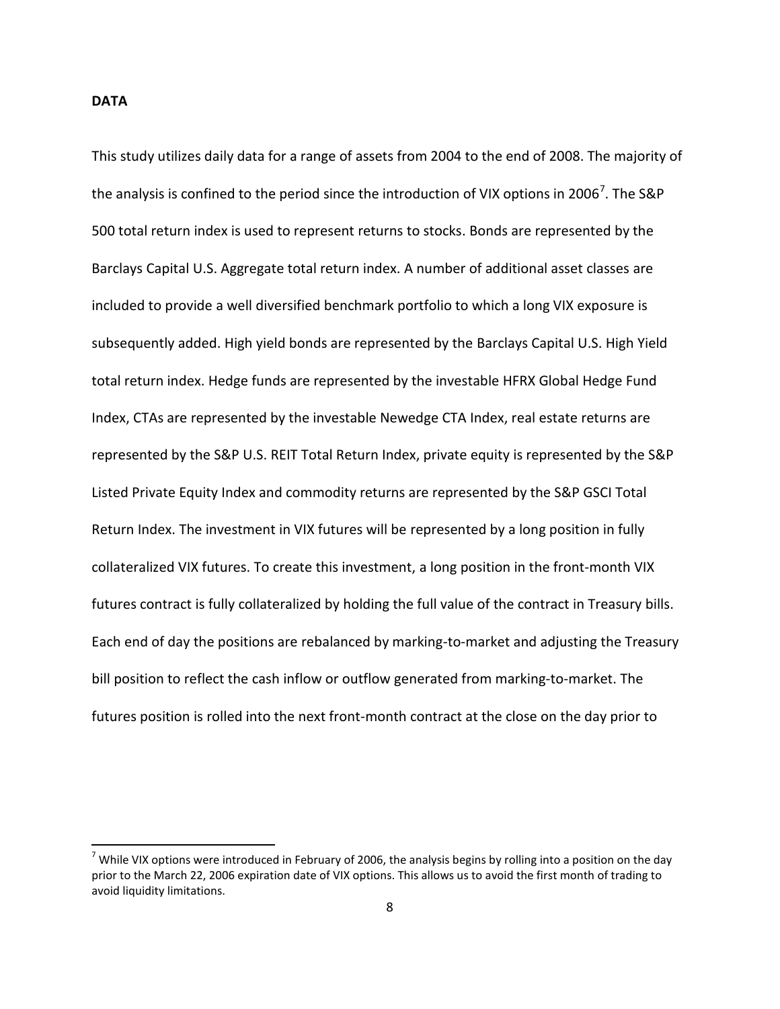## **DATA**

 $\overline{a}$ 

This study utilizes daily data for a range of assets from 2004 to the end of 2008. The majority of the analysis is confined to the period since the introduction of VIX options in 2006<sup>7</sup>. The S&P 500 total return index is used to represent returns to stocks. Bonds are represented by the Barclays Capital U.S. Aggregate total return index. A number of additional asset classes are included to provide a well diversified benchmark portfolio to which a long VIX exposure is subsequently added. High yield bonds are represented by the Barclays Capital U.S. High Yield total return index. Hedge funds are represented by the investable HFRX Global Hedge Fund Index, CTAs are represented by the investable Newedge CTA Index, real estate returns are represented by the S&P U.S. REIT Total Return Index, private equity is represented by the S&P Listed Private Equity Index and commodity returns are represented by the S&P GSCI Total Return Index. The investment in VIX futures will be represented by a long position in fully collateralized VIX futures. To create this investment, a long position in the front-month VIX futures contract is fully collateralized by holding the full value of the contract in Treasury bills. Each end of day the positions are rebalanced by marking-to-market and adjusting the Treasury bill position to reflect the cash inflow or outflow generated from marking-to-market. The futures position is rolled into the next front-month contract at the close on the day prior to

<sup>&</sup>lt;sup>7</sup> While VIX options were introduced in February of 2006, the analysis begins by rolling into a position on the day prior to the March 22, 2006 expiration date of VIX options. This allows us to avoid the first month of trading to avoid liquidity limitations.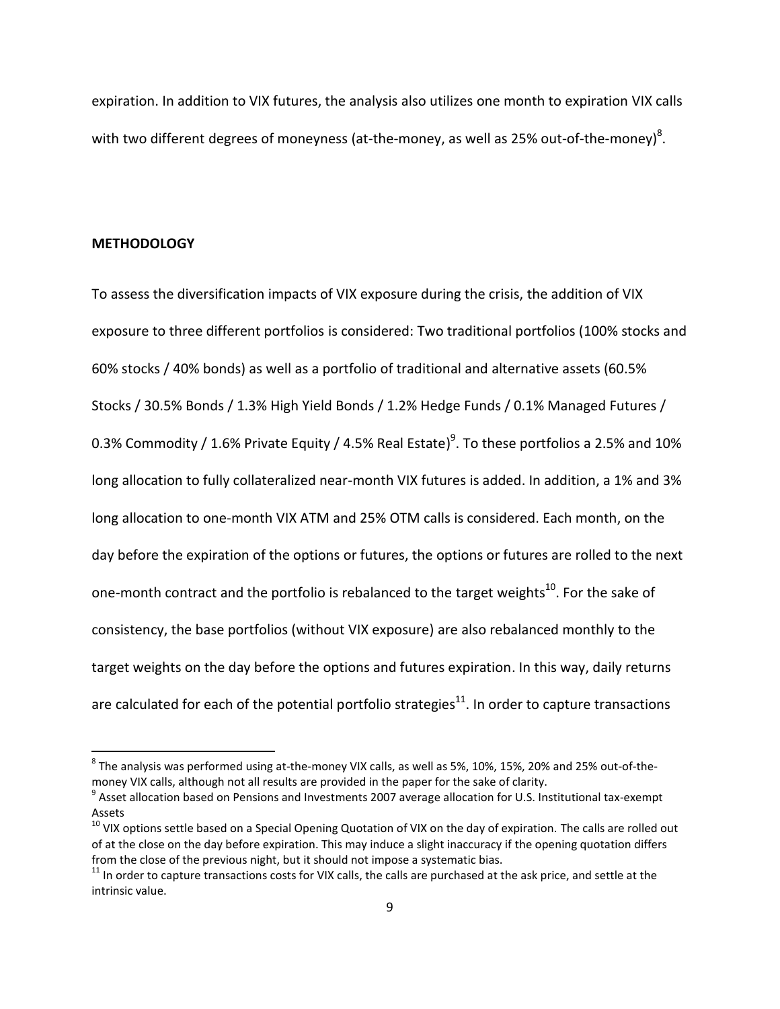expiration. In addition to VIX futures, the analysis also utilizes one month to expiration VIX calls with two different degrees of moneyness (at-the-money, as well as 25% out-of-the-money) $^8$ .

#### **METHODOLOGY**

 $\overline{\phantom{a}}$ 

To assess the diversification impacts of VIX exposure during the crisis, the addition of VIX exposure to three different portfolios is considered: Two traditional portfolios (100% stocks and 60% stocks / 40% bonds) as well as a portfolio of traditional and alternative assets (60.5% Stocks / 30.5% Bonds / 1.3% High Yield Bonds / 1.2% Hedge Funds / 0.1% Managed Futures / 0.3% Commodity / 1.6% Private Equity / 4.5% Real Estate) $^9$ . To these portfolios a 2.5% and 10% long allocation to fully collateralized near-month VIX futures is added. In addition, a 1% and 3% long allocation to one-month VIX ATM and 25% OTM calls is considered. Each month, on the day before the expiration of the options or futures, the options or futures are rolled to the next one-month contract and the portfolio is rebalanced to the target weights<sup>10</sup>. For the sake of consistency, the base portfolios (without VIX exposure) are also rebalanced monthly to the target weights on the day before the options and futures expiration. In this way, daily returns are calculated for each of the potential portfolio strategies<sup>11</sup>. In order to capture transactions

 $^8$  The analysis was performed using at-the-money VIX calls, as well as 5%, 10%, 15%, 20% and 25% out-of-themoney VIX calls, although not all results are provided in the paper for the sake of clarity.

<sup>&</sup>lt;sup>9</sup> Asset allocation based on Pensions and Investments 2007 average allocation for U.S. Institutional tax-exempt Assets

 $10$  VIX options settle based on a Special Opening Quotation of VIX on the day of expiration. The calls are rolled out of at the close on the day before expiration. This may induce a slight inaccuracy if the opening quotation differs from the close of the previous night, but it should not impose a systematic bias.

 $11$  In order to capture transactions costs for VIX calls, the calls are purchased at the ask price, and settle at the intrinsic value.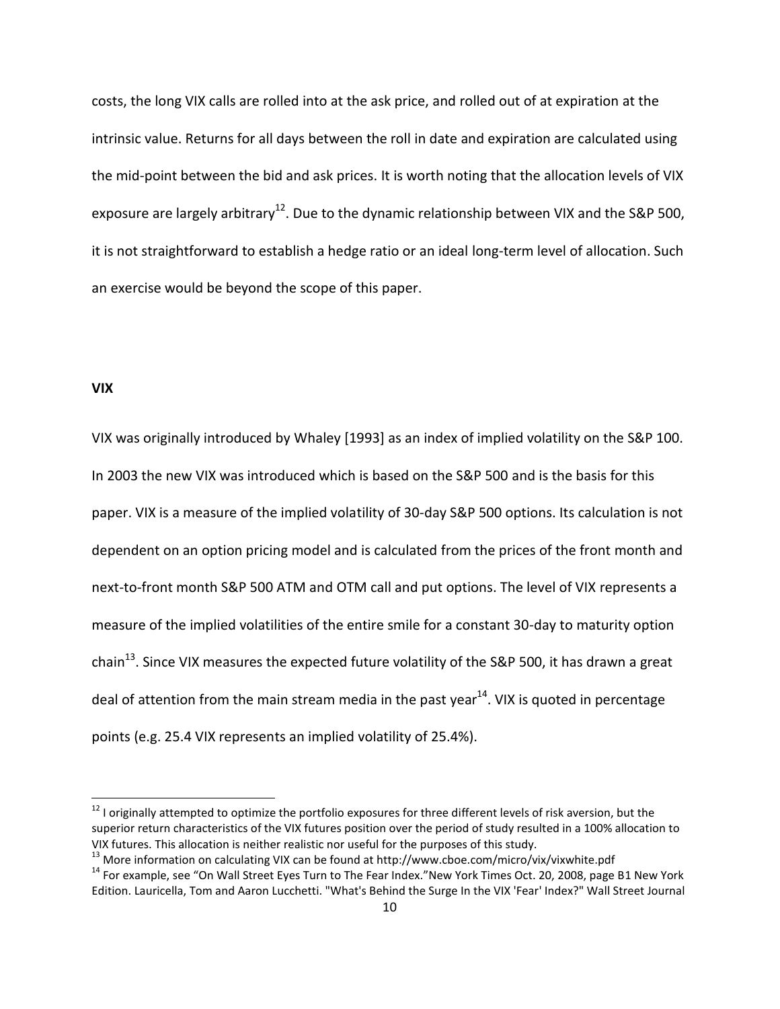costs, the long VIX calls are rolled into at the ask price, and rolled out of at expiration at the intrinsic value. Returns for all days between the roll in date and expiration are calculated using the mid-point between the bid and ask prices. It is worth noting that the allocation levels of VIX exposure are largely arbitrary<sup>12</sup>. Due to the dynamic relationship between VIX and the S&P 500, it is not straightforward to establish a hedge ratio or an ideal long-term level of allocation. Such an exercise would be beyond the scope of this paper.

## **VIX**

l

VIX was originally introduced by Whaley [1993] as an index of implied volatility on the S&P 100. In 2003 the new VIX was introduced which is based on the S&P 500 and is the basis for this paper. VIX is a measure of the implied volatility of 30-day S&P 500 options. Its calculation is not dependent on an option pricing model and is calculated from the prices of the front month and next-to-front month S&P 500 ATM and OTM call and put options. The level of VIX represents a measure of the implied volatilities of the entire smile for a constant 30-day to maturity option chain<sup>13</sup>. Since VIX measures the expected future volatility of the S&P 500, it has drawn a great deal of attention from the main stream media in the past year<sup>14</sup>. VIX is quoted in percentage points (e.g. 25.4 VIX represents an implied volatility of 25.4%).

 $12$  I originally attempted to optimize the portfolio exposures for three different levels of risk aversion, but the superior return characteristics of the VIX futures position over the period of study resulted in a 100% allocation to VIX futures. This allocation is neither realistic nor useful for the purposes of this study.

<sup>&</sup>lt;sup>13</sup> More information on calculating VIX can be found at http://www.cboe.com/micro/vix/vixwhite.pdf

<sup>&</sup>lt;sup>14</sup> For example, see "On Wall Street Eyes Turn to The Fear Index."New York Times Oct. 20, 2008, page B1 New York Edition. Lauricella, Tom and Aaron Lucchetti. "What's Behind the Surge In the VIX 'Fear' Index?" Wall Street Journal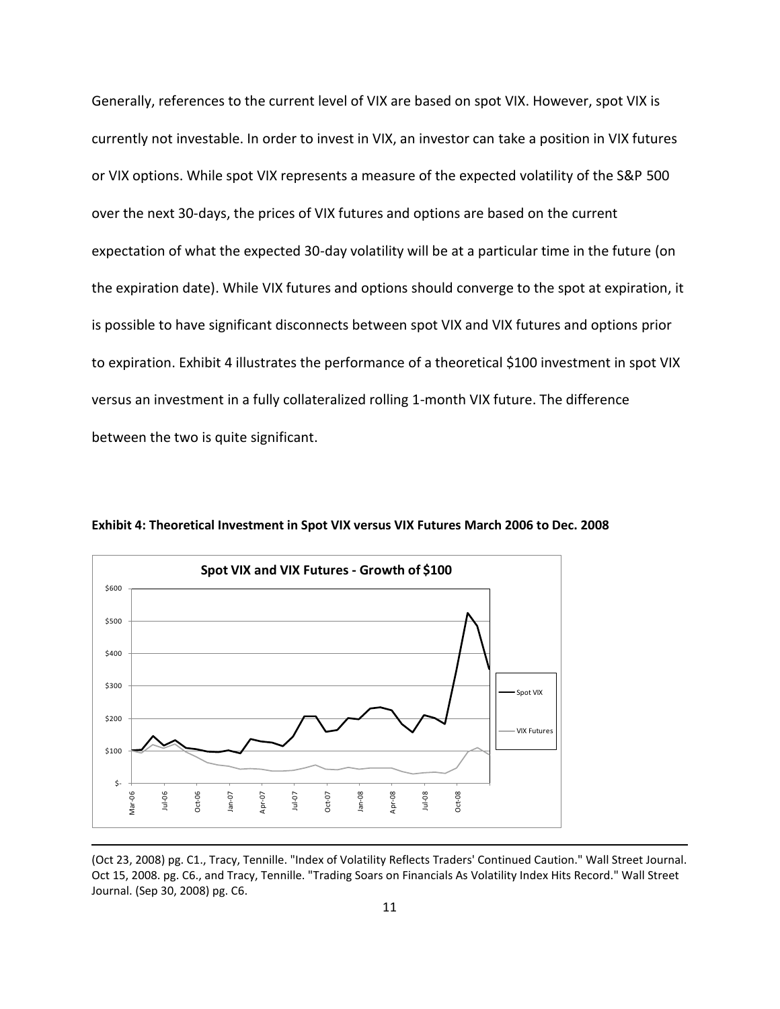Generally, references to the current level of VIX are based on spot VIX. However, spot VIX is currently not investable. In order to invest in VIX, an investor can take a position in VIX futures or VIX options. While spot VIX represents a measure of the expected volatility of the S&P 500 over the next 30-days, the prices of VIX futures and options are based on the current expectation of what the expected 30-day volatility will be at a particular time in the future (on the expiration date). While VIX futures and options should converge to the spot at expiration, it is possible to have significant disconnects between spot VIX and VIX futures and options prior to expiration. Exhibit 4 illustrates the performance of a theoretical \$100 investment in spot VIX versus an investment in a fully collateralized rolling 1-month VIX future. The difference between the two is quite significant.



**Exhibit 4: Theoretical Investment in Spot VIX versus VIX Futures March 2006 to Dec. 2008**

(Oct 23, 2008) pg. C1., Tracy, Tennille. "Index of Volatility Reflects Traders' Continued Caution." Wall Street Journal. Oct 15, 2008. pg. C6., and Tracy, Tennille. "Trading Soars on Financials As Volatility Index Hits Record." Wall Street Journal. (Sep 30, 2008) pg. C6.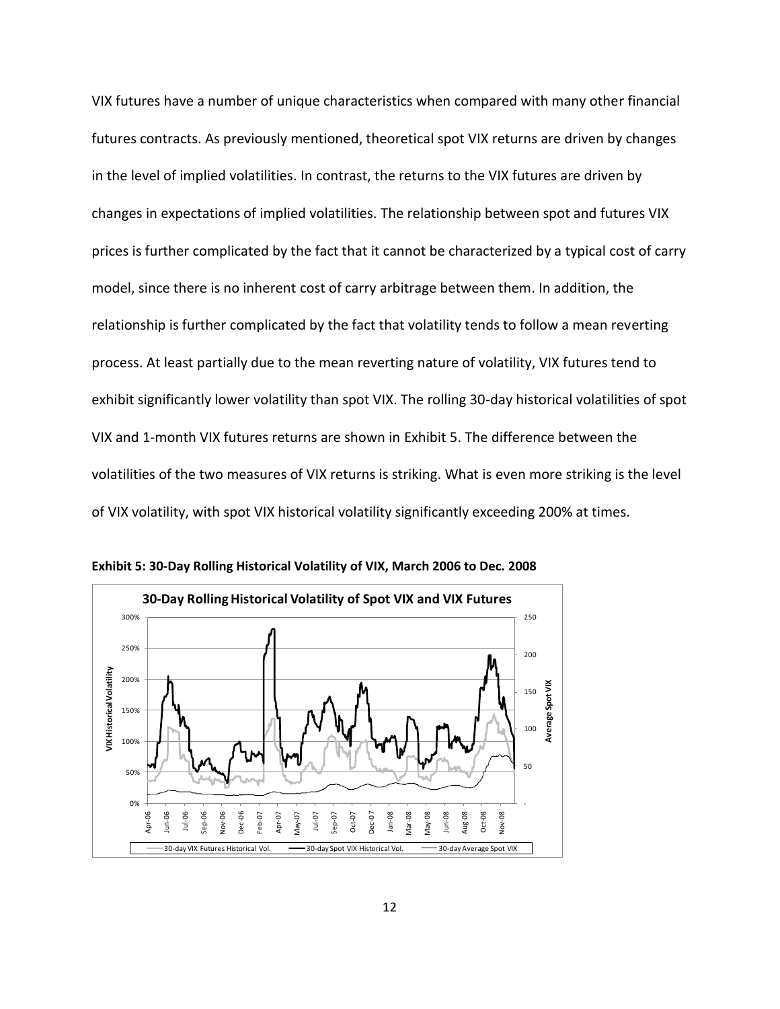VIX futures have a number of unique characteristics when compared with many other financial futures contracts. As previously mentioned, theoretical spot VIX returns are driven by changes in the level of implied volatilities. In contrast, the returns to the VIX futures are driven by changes in expectations of implied volatilities. The relationship between spot and futures VIX prices is further complicated by the fact that it cannot be characterized by a typical cost of carry model, since there is no inherent cost of carry arbitrage between them. In addition, the relationship is further complicated by the fact that volatility tends to follow a mean reverting process. At least partially due to the mean reverting nature of volatility, VIX futures tend to exhibit significantly lower volatility than spot VIX. The rolling 30-day historical volatilities of spot VIX and 1-month VIX futures returns are shown in Exhibit 5. The difference between the volatilities of the two measures of VIX returns is striking. What is even more striking is the level of VIX volatility, with spot VIX historical volatility significantly exceeding 200% at times.



**Exhibit 5: 30-Day Rolling Historical Volatility of VIX, March 2006 to Dec. 2008**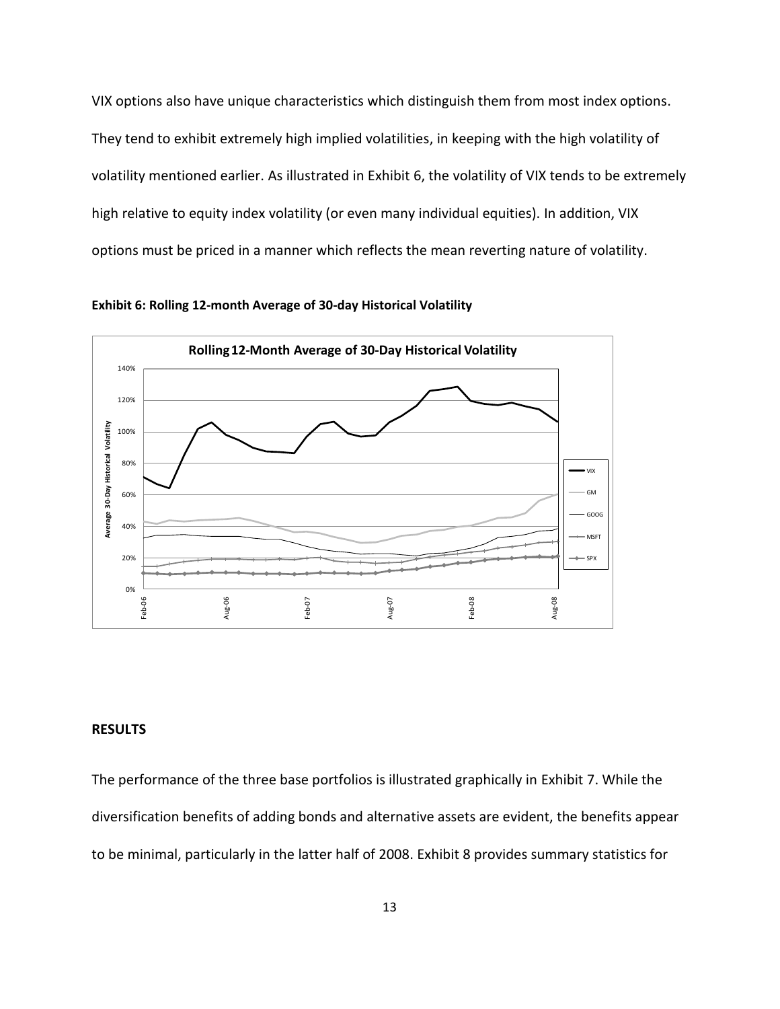VIX options also have unique characteristics which distinguish them from most index options. They tend to exhibit extremely high implied volatilities, in keeping with the high volatility of volatility mentioned earlier. As illustrated in Exhibit 6, the volatility of VIX tends to be extremely high relative to equity index volatility (or even many individual equities). In addition, VIX options must be priced in a manner which reflects the mean reverting nature of volatility.





#### **RESULTS**

The performance of the three base portfolios is illustrated graphically in Exhibit 7. While the diversification benefits of adding bonds and alternative assets are evident, the benefits appear to be minimal, particularly in the latter half of 2008. Exhibit 8 provides summary statistics for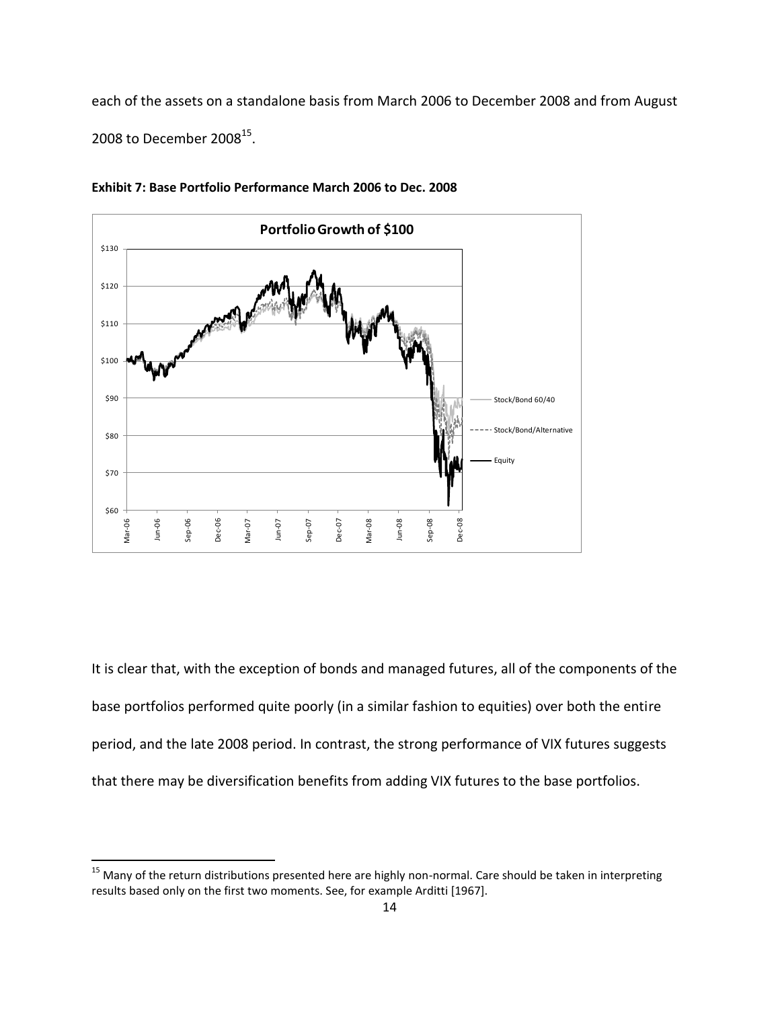each of the assets on a standalone basis from March 2006 to December 2008 and from August 2008 to December 2008 $^{15}$ .





It is clear that, with the exception of bonds and managed futures, all of the components of the base portfolios performed quite poorly (in a similar fashion to equities) over both the entire period, and the late 2008 period. In contrast, the strong performance of VIX futures suggests that there may be diversification benefits from adding VIX futures to the base portfolios.

 $\overline{\phantom{a}}$ 

<sup>&</sup>lt;sup>15</sup> Many of the return distributions presented here are highly non-normal. Care should be taken in interpreting results based only on the first two moments. See, for example Arditti [1967].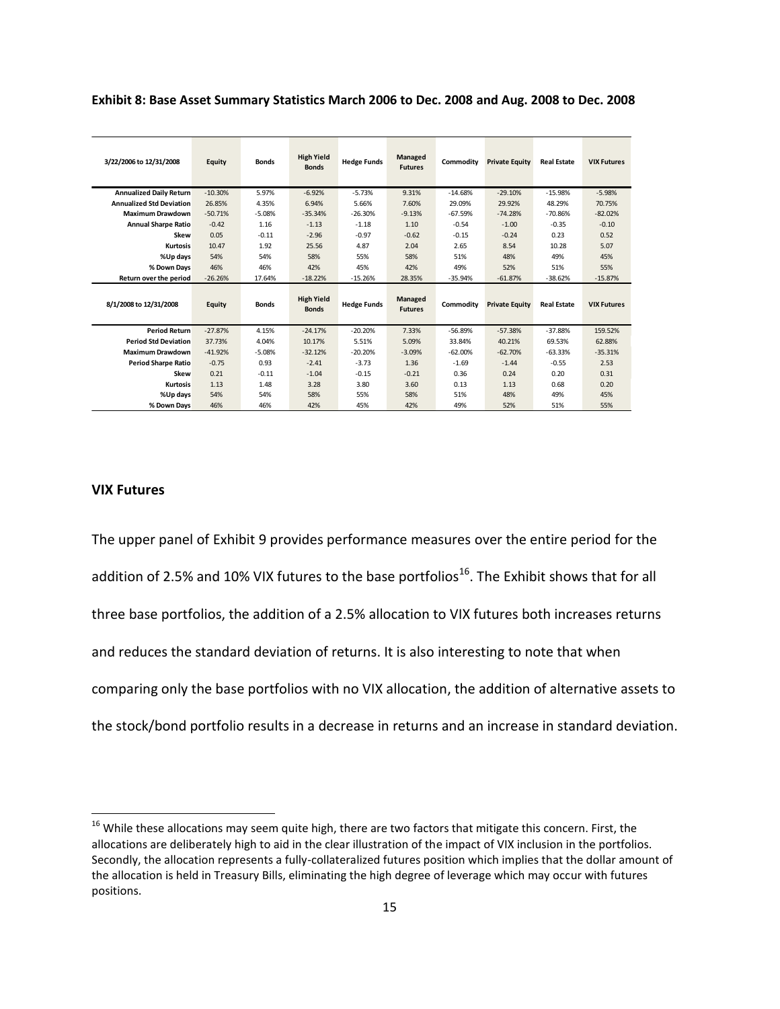**Exhibit 8: Base Asset Summary Statistics March 2006 to Dec. 2008 and Aug. 2008 to Dec. 2008**

| 3/22/2006 to 12/31/2008         | Equity    | <b>Bonds</b> | <b>High Yield</b><br><b>Bonds</b> | <b>Hedge Funds</b> | Managed<br><b>Futures</b> | Commodity | <b>Private Equity</b> | <b>Real Estate</b> | <b>VIX Futures</b> |
|---------------------------------|-----------|--------------|-----------------------------------|--------------------|---------------------------|-----------|-----------------------|--------------------|--------------------|
| <b>Annualized Daily Return</b>  | $-10.30%$ | 5.97%        | $-6.92%$                          | $-5.73%$           | 9.31%                     | $-14.68%$ | $-29.10%$             | $-15.98%$          | $-5.98%$           |
| <b>Annualized Std Deviation</b> | 26.85%    | 4.35%        | 6.94%                             | 5.66%              | 7.60%                     | 29.09%    | 29.92%                | 48.29%             | 70.75%             |
| <b>Maximum Drawdown</b>         | $-50.71%$ | $-5.08%$     | $-35.34%$                         | $-26.30%$          | $-9.13%$                  | $-67.59%$ | $-74.28%$             | $-70.86%$          | $-82.02%$          |
| <b>Annual Sharpe Ratio</b>      | $-0.42$   | 1.16         | $-1.13$                           | $-1.18$            | 1.10                      | $-0.54$   | $-1.00$               | $-0.35$            | $-0.10$            |
| Skew                            | 0.05      | $-0.11$      | $-2.96$                           | $-0.97$            | $-0.62$                   | $-0.15$   | $-0.24$               | 0.23               | 0.52               |
| Kurtosis                        | 10.47     | 1.92         | 25.56                             | 4.87               | 2.04                      | 2.65      | 8.54                  | 10.28              | 5.07               |
| %Up days                        | 54%       | 54%          | 58%                               | 55%                | 58%                       | 51%       | 48%                   | 49%                | 45%                |
| % Down Days                     | 46%       | 46%          | 42%                               | 45%                | 42%                       | 49%       | 52%                   | 51%                | 55%                |
| Return over the period          | $-26.26%$ | 17.64%       | $-18.22%$                         | $-15.26%$          | 28.35%                    | $-35.94%$ | $-61.87%$             | $-38.62%$          | $-15.87%$          |
| 8/1/2008 to 12/31/2008          | Equity    | <b>Bonds</b> | <b>High Yield</b><br><b>Bonds</b> | <b>Hedge Funds</b> | Managed<br><b>Futures</b> | Commodity | <b>Private Equity</b> | <b>Real Estate</b> | <b>VIX Futures</b> |
| <b>Period Return</b>            | $-27.87%$ | 4.15%        | $-24.17%$                         | $-20.20%$          | 7.33%                     | $-56.89%$ | $-57.38%$             | $-37.88%$          | 159.52%            |
| <b>Period Std Deviation</b>     | 37.73%    | 4.04%        | 10.17%                            | 5.51%              | 5.09%                     | 33.84%    | 40.21%                | 69.53%             | 62.88%             |
| <b>Maximum Drawdown</b>         | $-41.92%$ | $-5.08%$     | $-32.12%$                         | $-20.20%$          | $-3.09%$                  | $-62.00%$ | $-62.70%$             | $-63.33%$          | $-35.31%$          |
| <b>Period Sharpe Ratio</b>      | $-0.75$   | 0.93         | $-2.41$                           | $-3.73$            | 1.36                      | $-1.69$   | $-1.44$               | $-0.55$            | 2.53               |
| Skew                            | 0.21      | $-0.11$      | $-1.04$                           | $-0.15$            | $-0.21$                   | 0.36      | 0.24                  | 0.20               | 0.31               |
| Kurtosis                        | 1.13      | 1.48         | 3.28                              | 3.80               | 3.60                      | 0.13      | 1.13                  | 0.68               | 0.20               |
| %Up days                        | 54%       | 54%          | 58%                               | 55%                | 58%                       | 51%       | 48%                   | 49%                | 45%                |
| % Down Days                     | 46%       | 46%          | 42%                               | 45%                | 42%                       | 49%       | 52%                   | 51%                | 55%                |

## **VIX Futures**

 $\overline{\phantom{a}}$ 

The upper panel of Exhibit 9 provides performance measures over the entire period for the addition of 2.5% and 10% VIX futures to the base portfolios<sup>16</sup>. The Exhibit shows that for all three base portfolios, the addition of a 2.5% allocation to VIX futures both increases returns and reduces the standard deviation of returns. It is also interesting to note that when comparing only the base portfolios with no VIX allocation, the addition of alternative assets to the stock/bond portfolio results in a decrease in returns and an increase in standard deviation.

 $16$  While these allocations may seem quite high, there are two factors that mitigate this concern. First, the allocations are deliberately high to aid in the clear illustration of the impact of VIX inclusion in the portfolios. Secondly, the allocation represents a fully-collateralized futures position which implies that the dollar amount of the allocation is held in Treasury Bills, eliminating the high degree of leverage which may occur with futures positions.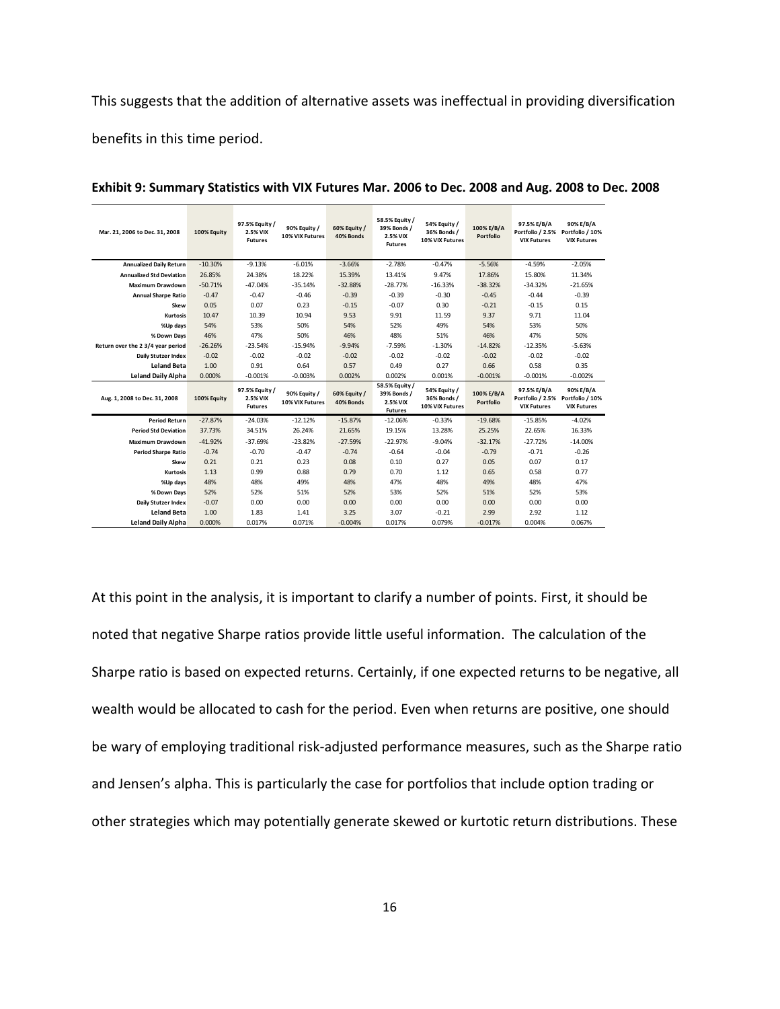This suggests that the addition of alternative assets was ineffectual in providing diversification benefits in this time period.

| Mar. 21, 2006 to Dec. 31, 2008    | 100% Equity | 97.5% Equity /<br>2.5% VIX<br><b>Futures</b> | 90% Equity /<br>10% VIX Futures | 60% Equity /<br>40% Bonds | 58.5% Equity /<br>39% Bonds /<br>2.5% VIX<br><b>Futures</b> | 54% Equity /<br>36% Bonds /<br>10% VIX Futures | 100% E/B/A<br>Portfolio | 97.5% E/B/A<br>Portfolio / 2.5% Portfolio / 10%<br><b>VIX Futures</b> | 90% E/B/A<br><b>VIX Futures</b> |
|-----------------------------------|-------------|----------------------------------------------|---------------------------------|---------------------------|-------------------------------------------------------------|------------------------------------------------|-------------------------|-----------------------------------------------------------------------|---------------------------------|
| <b>Annualized Daily Return</b>    | $-10.30%$   | $-9.13%$                                     | $-6.01%$                        | $-3.66%$                  | $-2.78%$                                                    | $-0.47%$                                       | $-5.56%$                | $-4.59%$                                                              | $-2.05%$                        |
| <b>Annualized Std Deviation</b>   | 26.85%      | 24.38%                                       | 18.22%                          | 15.39%                    | 13.41%                                                      | 9.47%                                          | 17.86%                  | 15.80%                                                                | 11.34%                          |
| <b>Maximum Drawdown</b>           | $-50.71%$   | $-47.04%$                                    | $-35.14%$                       | $-32.88%$                 | $-28.77%$                                                   | $-16.33%$                                      | $-38.32%$               | $-34.32%$                                                             | $-21.65%$                       |
| <b>Annual Sharpe Ratio</b>        | $-0.47$     | $-0.47$                                      | $-0.46$                         | $-0.39$                   | $-0.39$                                                     | $-0.30$                                        | $-0.45$                 | $-0.44$                                                               | $-0.39$                         |
| <b>Skew</b>                       | 0.05        | 0.07                                         | 0.23                            | $-0.15$                   | $-0.07$                                                     | 0.30                                           | $-0.21$                 | $-0.15$                                                               | 0.15                            |
| Kurtosis                          | 10.47       | 10.39                                        | 10.94                           | 9.53                      | 9.91                                                        | 11.59                                          | 9.37                    | 9.71                                                                  | 11.04                           |
| %Up days                          | 54%         | 53%                                          | 50%                             | 54%                       | 52%                                                         | 49%                                            | 54%                     | 53%                                                                   | 50%                             |
| % Down Days                       | 46%         | 47%                                          | 50%                             | 46%                       | 48%                                                         | 51%                                            | 46%                     | 47%                                                                   | 50%                             |
| Return over the 2 3/4 year period | $-26.26%$   | $-23.54%$                                    | $-15.94%$                       | $-9.94%$                  | $-7.59%$                                                    | $-1.30%$                                       | $-14.82%$               | $-12.35%$                                                             | $-5.63%$                        |
| Daily Stutzer Index               | $-0.02$     | $-0.02$                                      | $-0.02$                         | $-0.02$                   | $-0.02$                                                     | $-0.02$                                        | $-0.02$                 | $-0.02$                                                               | $-0.02$                         |
| <b>Leland Beta</b>                | 1.00        | 0.91                                         | 0.64                            | 0.57                      | 0.49                                                        | 0.27                                           | 0.66                    | 0.58                                                                  | 0.35                            |
|                                   |             |                                              |                                 |                           |                                                             |                                                |                         |                                                                       |                                 |
| <b>Leland Daily Alpha</b>         | 0.000%      | $-0.001%$                                    | $-0.003%$                       | 0.002%                    | 0.002%                                                      | 0.001%                                         | $-0.001%$               | $-0.001%$                                                             | $-0.002%$                       |
| Aug. 1, 2008 to Dec. 31, 2008     | 100% Equity | 97.5% Equity /<br>2.5% VIX<br><b>Futures</b> | 90% Equity /<br>10% VIX Futures | 60% Equity /<br>40% Bonds | 58.5% Equity /<br>39% Bonds /<br>2.5% VIX<br><b>Futures</b> | 54% Equity /<br>36% Bonds /<br>10% VIX Futures | 100% E/B/A<br>Portfolio | 97.5% E/B/A<br>Portfolio / 2.5% Portfolio / 10%<br><b>VIX Futures</b> | 90% E/B/A<br><b>VIX Futures</b> |
| <b>Period Return</b>              | $-27.87%$   | $-24.03%$                                    | $-12.12%$                       | $-15.87%$                 | $-12.06%$                                                   | $-0.33%$                                       | $-19.68%$               | $-15.85%$                                                             | $-4.02%$                        |
| <b>Period Std Deviation</b>       | 37.73%      | 34.51%                                       | 26.24%                          | 21.65%                    | 19.15%                                                      | 13.28%                                         | 25.25%                  | 22.65%                                                                | 16.33%                          |
| <b>Maximum Drawdown</b>           | $-41.92%$   | $-37.69%$                                    | $-23.82%$                       | $-27.59%$                 | $-22.97%$                                                   | $-9.04%$                                       | $-32.17%$               | $-27.72%$                                                             | $-14.00%$                       |
| <b>Period Sharpe Ratio</b>        | $-0.74$     | $-0.70$                                      | $-0.47$                         | $-0.74$                   | $-0.64$                                                     | $-0.04$                                        | $-0.79$                 | $-0.71$                                                               | $-0.26$                         |
| <b>Skew</b>                       | 0.21        | 0.21                                         | 0.23                            | 0.08                      | 0.10                                                        | 0.27                                           | 0.05                    | 0.07                                                                  | 0.17                            |
| <b>Kurtosis</b>                   | 1.13        | 0.99                                         | 0.88                            | 0.79                      | 0.70                                                        | 1.12                                           | 0.65                    | 0.58                                                                  | 0.77                            |
| %Up days                          | 48%         | 48%                                          | 49%                             | 48%                       | 47%                                                         | 48%                                            | 49%                     | 48%                                                                   | 47%                             |
| % Down Days                       | 52%         | 52%                                          | 51%                             | 52%                       | 53%                                                         | 52%                                            | 51%                     | 52%                                                                   | 53%                             |
| Daily Stutzer Index               | $-0.07$     | 0.00                                         | 0.00                            | 0.00                      | 0.00                                                        | 0.00                                           | 0.00                    | 0.00                                                                  | 0.00                            |
| <b>Leland Beta</b>                | 1.00        | 1.83                                         | 1.41                            | 3.25                      | 3.07                                                        | $-0.21$                                        | 2.99                    | 2.92                                                                  | 1.12                            |

**Exhibit 9: Summary Statistics with VIX Futures Mar. 2006 to Dec. 2008 and Aug. 2008 to Dec. 2008**

At this point in the analysis, it is important to clarify a number of points. First, it should be noted that negative Sharpe ratios provide little useful information. The calculation of the Sharpe ratio is based on expected returns. Certainly, if one expected returns to be negative, all wealth would be allocated to cash for the period. Even when returns are positive, one should be wary of employing traditional risk-adjusted performance measures, such as the Sharpe ratio and Jensen's alpha. This is particularly the case for portfolios that include option trading or other strategies which may potentially generate skewed or kurtotic return distributions. These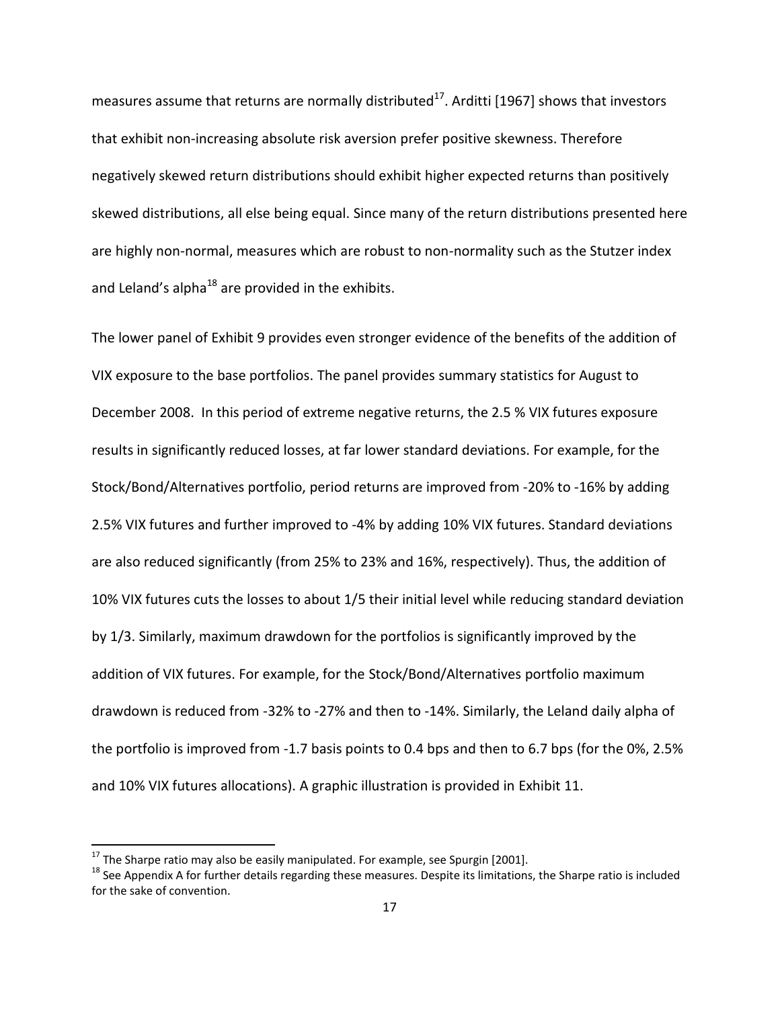measures assume that returns are normally distributed<sup>17</sup>. Arditti [1967] shows that investors that exhibit non-increasing absolute risk aversion prefer positive skewness. Therefore negatively skewed return distributions should exhibit higher expected returns than positively skewed distributions, all else being equal. Since many of the return distributions presented here are highly non-normal, measures which are robust to non-normality such as the Stutzer index and Leland's alpha $^{18}$  are provided in the exhibits.

The lower panel of Exhibit 9 provides even stronger evidence of the benefits of the addition of VIX exposure to the base portfolios. The panel provides summary statistics for August to December 2008. In this period of extreme negative returns, the 2.5 % VIX futures exposure results in significantly reduced losses, at far lower standard deviations. For example, for the Stock/Bond/Alternatives portfolio, period returns are improved from -20% to -16% by adding 2.5% VIX futures and further improved to -4% by adding 10% VIX futures. Standard deviations are also reduced significantly (from 25% to 23% and 16%, respectively). Thus, the addition of 10% VIX futures cuts the losses to about 1/5 their initial level while reducing standard deviation by 1/3. Similarly, maximum drawdown for the portfolios is significantly improved by the addition of VIX futures. For example, for the Stock/Bond/Alternatives portfolio maximum drawdown is reduced from -32% to -27% and then to -14%. Similarly, the Leland daily alpha of the portfolio is improved from -1.7 basis points to 0.4 bps and then to 6.7 bps (for the 0%, 2.5% and 10% VIX futures allocations). A graphic illustration is provided in Exhibit 11.

 $\overline{a}$ 

 $^{17}$  The Sharpe ratio may also be easily manipulated. For example, see Spurgin [2001].

<sup>&</sup>lt;sup>18</sup> See Appendix A for further details regarding these measures. Despite its limitations, the Sharpe ratio is included for the sake of convention.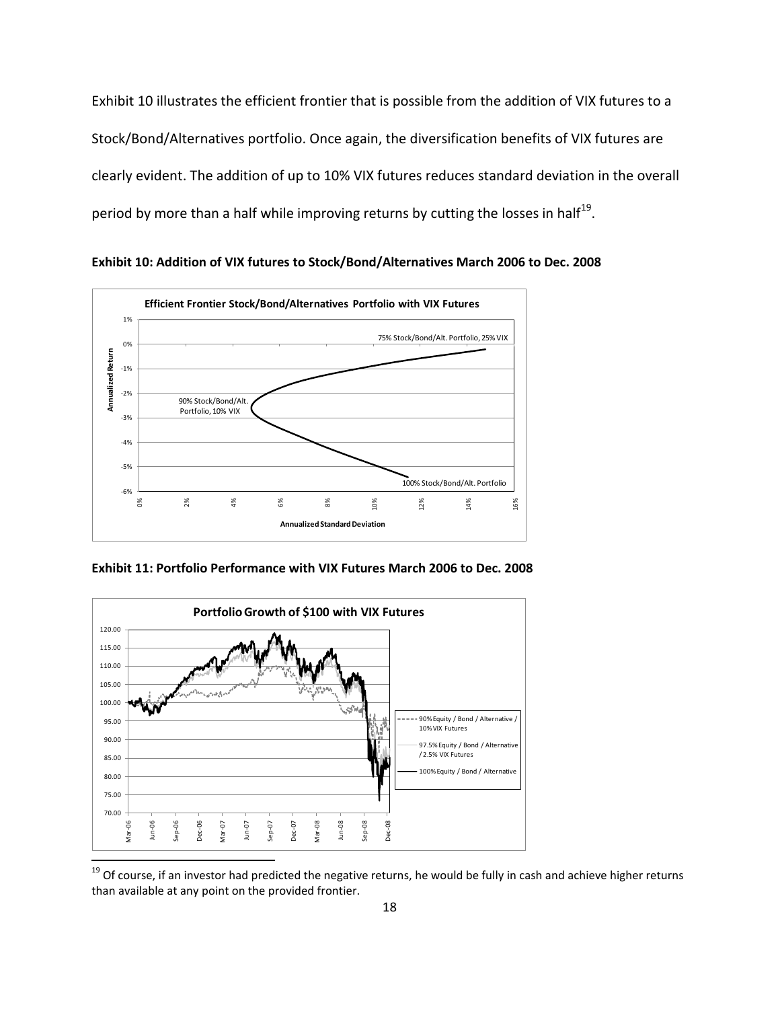Exhibit 10 illustrates the efficient frontier that is possible from the addition of VIX futures to a Stock/Bond/Alternatives portfolio. Once again, the diversification benefits of VIX futures are clearly evident. The addition of up to 10% VIX futures reduces standard deviation in the overall period by more than a half while improving returns by cutting the losses in half<sup>19</sup>.

**Exhibit 10: Addition of VIX futures to Stock/Bond/Alternatives March 2006 to Dec. 2008**



**Exhibit 11: Portfolio Performance with VIX Futures March 2006 to Dec. 2008**



<sup>&</sup>lt;sup>19</sup> Of course, if an investor had predicted the negative returns, he would be fully in cash and achieve higher returns than available at any point on the provided frontier.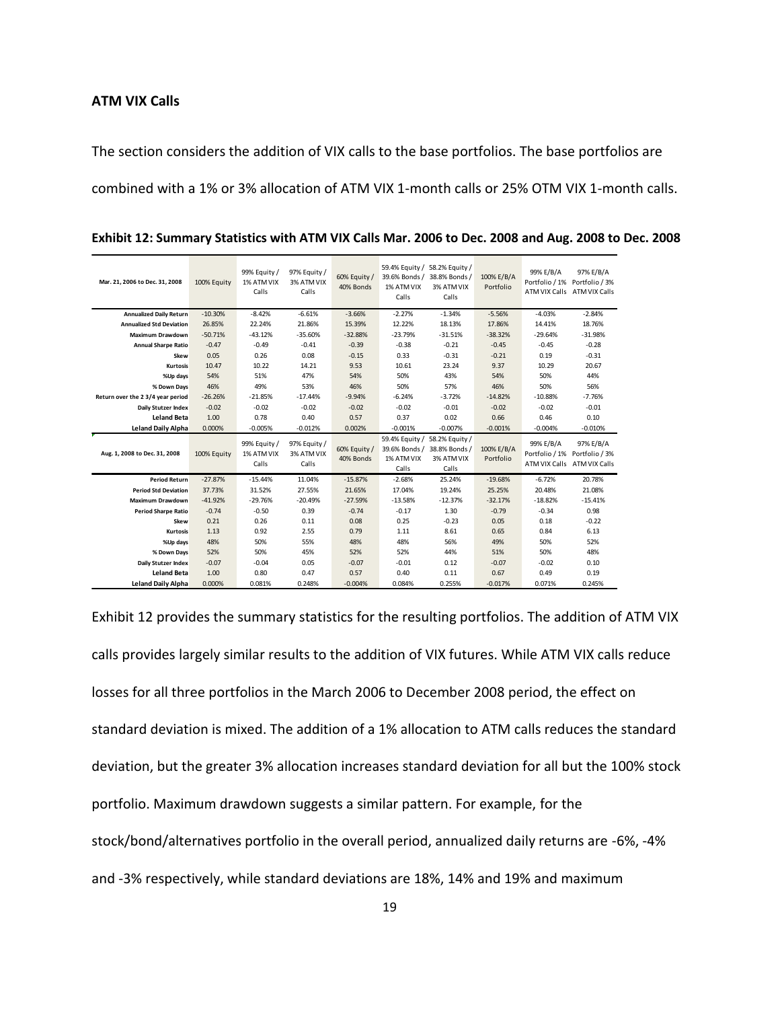## **ATM VIX Calls**

The section considers the addition of VIX calls to the base portfolios. The base portfolios are combined with a 1% or 3% allocation of ATM VIX 1-month calls or 25% OTM VIX 1-month calls.

| Mar. 21, 2006 to Dec. 31, 2008    | 100% Equity | 99% Equity /<br>1% ATM VIX<br>Calls | 97% Equity /<br>3% ATM VIX<br>Calls | 60% Equity /<br>40% Bonds | 59.4% Equity / 58.2% Equity /<br>39.6% Bonds / 38.8% Bonds /<br>1% ATM VIX<br>Calls | 3% ATM VIX<br>Calls                                                                 | 100% E/B/A<br>Portfolio | 99% E/B/A | 97% E/B/A<br>Portfolio / 1% Portfolio / 3%<br>ATM VIX Calls ATM VIX Calls |
|-----------------------------------|-------------|-------------------------------------|-------------------------------------|---------------------------|-------------------------------------------------------------------------------------|-------------------------------------------------------------------------------------|-------------------------|-----------|---------------------------------------------------------------------------|
| <b>Annualized Daily Return</b>    | $-10.30%$   | $-8.42%$                            | $-6.61%$                            | $-3.66%$                  | $-2.27%$                                                                            | $-1.34%$                                                                            | $-5.56%$                | $-4.03%$  | $-2.84%$                                                                  |
| <b>Annualized Std Deviation</b>   | 26.85%      | 22.24%                              | 21.86%                              | 15.39%                    | 12.22%                                                                              | 18.13%                                                                              | 17.86%                  | 14.41%    | 18.76%                                                                    |
| <b>Maximum Drawdown</b>           | $-50.71%$   | $-43.12%$                           | $-35.60%$                           | $-32.88%$                 | $-23.79%$                                                                           | $-31.51%$                                                                           | $-38.32%$               | $-29.64%$ | $-31.98%$                                                                 |
| <b>Annual Sharpe Ratio</b>        | $-0.47$     | $-0.49$                             | $-0.41$                             | $-0.39$                   | $-0.38$                                                                             | $-0.21$                                                                             | $-0.45$                 | $-0.45$   | $-0.28$                                                                   |
| Skew                              | 0.05        | 0.26                                | 0.08                                | $-0.15$                   | 0.33                                                                                | $-0.31$                                                                             | $-0.21$                 | 0.19      | $-0.31$                                                                   |
| Kurtosis                          | 10.47       | 10.22                               | 14.21                               | 9.53                      | 10.61                                                                               | 23.24                                                                               | 9.37                    | 10.29     | 20.67                                                                     |
| %Up days                          | 54%         | 51%                                 | 47%                                 | 54%                       | 50%                                                                                 | 43%                                                                                 | 54%                     | 50%       | 44%                                                                       |
| % Down Days                       | 46%         | 49%                                 | 53%                                 | 46%                       | 50%                                                                                 | 57%                                                                                 | 46%                     | 50%       | 56%                                                                       |
| Return over the 2 3/4 year period | $-26.26%$   | $-21.85%$                           | $-17.44%$                           | $-9.94%$                  | $-6.24%$                                                                            | $-3.72%$                                                                            | $-14.82%$               | $-10.88%$ | $-7.76%$                                                                  |
| <b>Daily Stutzer Index</b>        | $-0.02$     | $-0.02$                             | $-0.02$                             | $-0.02$                   | $-0.02$                                                                             | $-0.01$                                                                             | $-0.02$                 | $-0.02$   | $-0.01$                                                                   |
| <b>Leland Beta</b>                | 1.00        | 0.78                                | 0.40                                | 0.57                      | 0.37                                                                                | 0.02                                                                                | 0.66                    | 0.46      | 0.10                                                                      |
| <b>Leland Daily Alpha</b>         | 0.000%      | $-0.005%$                           | $-0.012%$                           | 0.002%                    | $-0.001%$                                                                           | $-0.007%$                                                                           | $-0.001%$               | $-0.004%$ | $-0.010%$                                                                 |
| Aug. 1, 2008 to Dec. 31, 2008     | 100% Equity | 99% Equity /<br>1% ATM VIX<br>Calls | 97% Equity /<br>3% ATM VIX<br>Calls | 60% Equity /<br>40% Bonds | 1% ATM VIX<br>Calls                                                                 | 59.4% Equity / 58.2% Equity /<br>39.6% Bonds / 38.8% Bonds /<br>3% ATM VIX<br>Calls | 100% E/B/A<br>Portfolio | 99% E/B/A | 97% E/B/A<br>Portfolio / 1% Portfolio / 3%<br>ATM VIX Calls ATM VIX Calls |
| <b>Period Return</b>              | $-27.87%$   | $-15.44%$                           | 11.04%                              | $-15.87%$                 | $-2.68%$                                                                            | 25.24%                                                                              | $-19.68%$               | $-6.72%$  | 20.78%                                                                    |
| <b>Period Std Deviation</b>       | 37.73%      | 31.52%                              | 27.55%                              | 21.65%                    | 17.04%                                                                              | 19.24%                                                                              | 25.25%                  | 20.48%    | 21.08%                                                                    |
| <b>Maximum Drawdown</b>           | $-41.92%$   | $-29.76%$                           | $-20.49%$                           | $-27.59%$                 | $-13.58%$                                                                           | $-12.37%$                                                                           | $-32.17%$               | $-18.82%$ | $-15.41%$                                                                 |
| <b>Period Sharpe Ratio</b>        | $-0.74$     | $-0.50$                             | 0.39                                | $-0.74$                   | $-0.17$                                                                             | 1.30                                                                                | $-0.79$                 | $-0.34$   | 0.98                                                                      |
| Skew                              | 0.21        | 0.26                                | 0.11                                | 0.08                      | 0.25                                                                                | $-0.23$                                                                             | 0.05                    | 0.18      | $-0.22$                                                                   |
| <b>Kurtosis</b>                   | 1.13        | 0.92                                | 2.55                                | 0.79                      | 1.11                                                                                | 8.61                                                                                | 0.65                    | 0.84      | 6.13                                                                      |
| %Up days                          | 48%         | 50%                                 | 55%                                 | 48%                       | 48%                                                                                 | 56%                                                                                 | 49%                     | 50%       | 52%                                                                       |
| % Down Days                       | 52%         | 50%                                 | 45%                                 | 52%                       | 52%                                                                                 | 44%                                                                                 | 51%                     | 50%       | 48%                                                                       |
| Daily Stutzer Index               | $-0.07$     | $-0.04$                             | 0.05                                | $-0.07$                   | $-0.01$                                                                             | 0.12                                                                                | $-0.07$                 | $-0.02$   | 0.10                                                                      |
| <b>Leland Beta</b>                | 1.00        | 0.80                                | 0.47                                | 0.57                      | 0.40                                                                                | 0.11                                                                                | 0.67                    | 0.49      | 0.19                                                                      |
| <b>Leland Daily Alpha</b>         | 0.000%      | 0.081%                              | 0.248%                              | $-0.004%$                 | 0.084%                                                                              | 0.255%                                                                              | $-0.017%$               | 0.071%    | 0.245%                                                                    |

**Exhibit 12: Summary Statistics with ATM VIX Calls Mar. 2006 to Dec. 2008 and Aug. 2008 to Dec. 2008**

Exhibit 12 provides the summary statistics for the resulting portfolios. The addition of ATM VIX calls provides largely similar results to the addition of VIX futures. While ATM VIX calls reduce losses for all three portfolios in the March 2006 to December 2008 period, the effect on standard deviation is mixed. The addition of a 1% allocation to ATM calls reduces the standard deviation, but the greater 3% allocation increases standard deviation for all but the 100% stock portfolio. Maximum drawdown suggests a similar pattern. For example, for the stock/bond/alternatives portfolio in the overall period, annualized daily returns are -6%, -4% and -3% respectively, while standard deviations are 18%, 14% and 19% and maximum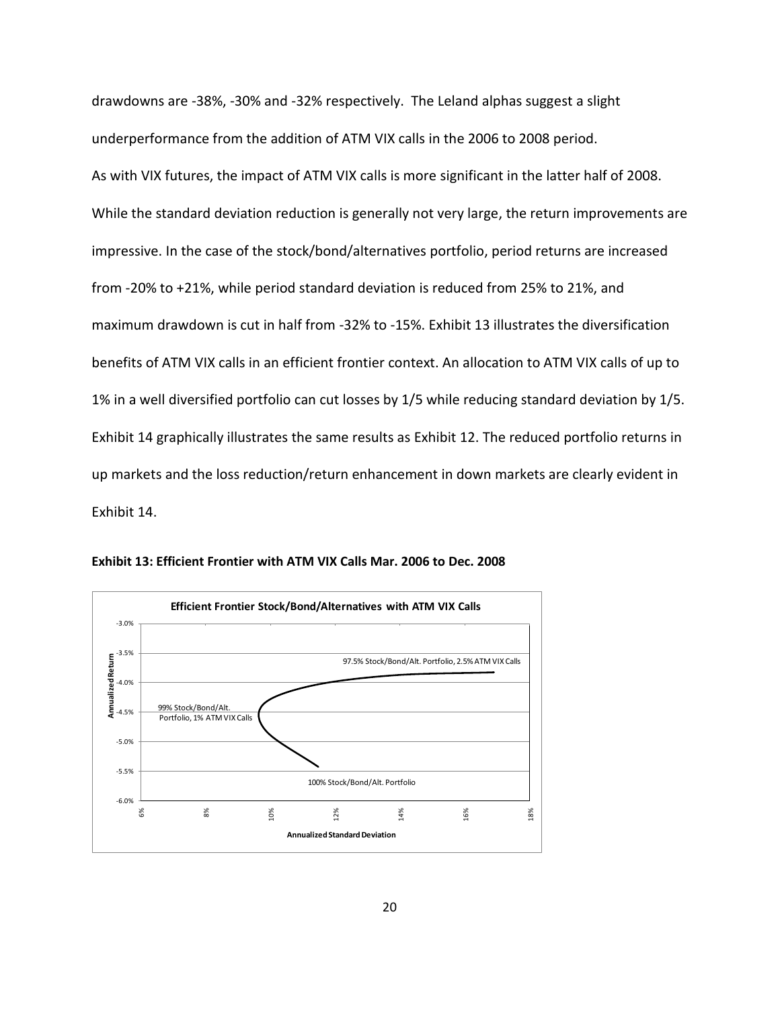drawdowns are -38%, -30% and -32% respectively. The Leland alphas suggest a slight underperformance from the addition of ATM VIX calls in the 2006 to 2008 period. As with VIX futures, the impact of ATM VIX calls is more significant in the latter half of 2008. While the standard deviation reduction is generally not very large, the return improvements are impressive. In the case of the stock/bond/alternatives portfolio, period returns are increased from -20% to +21%, while period standard deviation is reduced from 25% to 21%, and maximum drawdown is cut in half from -32% to -15%. Exhibit 13 illustrates the diversification benefits of ATM VIX calls in an efficient frontier context. An allocation to ATM VIX calls of up to 1% in a well diversified portfolio can cut losses by 1/5 while reducing standard deviation by 1/5. Exhibit 14 graphically illustrates the same results as Exhibit 12. The reduced portfolio returns in up markets and the loss reduction/return enhancement in down markets are clearly evident in Exhibit 14.



**Exhibit 13: Efficient Frontier with ATM VIX Calls Mar. 2006 to Dec. 2008**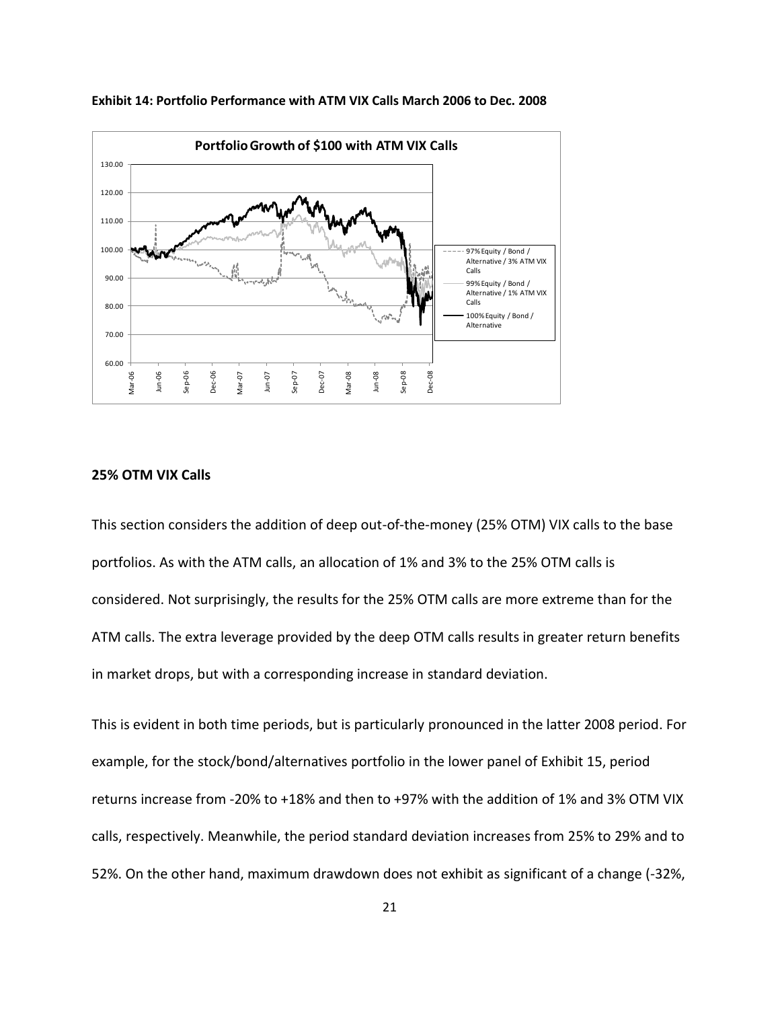

**Exhibit 14: Portfolio Performance with ATM VIX Calls March 2006 to Dec. 2008**

#### **25% OTM VIX Calls**

This section considers the addition of deep out-of-the-money (25% OTM) VIX calls to the base portfolios. As with the ATM calls, an allocation of 1% and 3% to the 25% OTM calls is considered. Not surprisingly, the results for the 25% OTM calls are more extreme than for the ATM calls. The extra leverage provided by the deep OTM calls results in greater return benefits in market drops, but with a corresponding increase in standard deviation.

This is evident in both time periods, but is particularly pronounced in the latter 2008 period. For example, for the stock/bond/alternatives portfolio in the lower panel of Exhibit 15, period returns increase from -20% to +18% and then to +97% with the addition of 1% and 3% OTM VIX calls, respectively. Meanwhile, the period standard deviation increases from 25% to 29% and to 52%. On the other hand, maximum drawdown does not exhibit as significant of a change (-32%,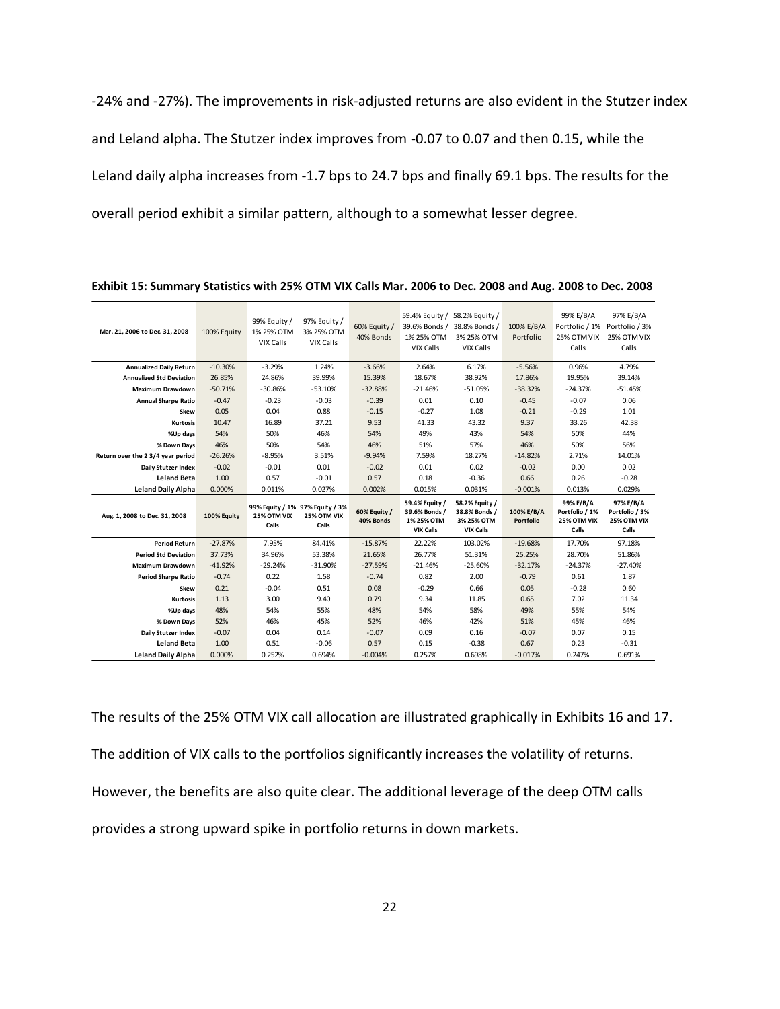-24% and -27%). The improvements in risk-adjusted returns are also evident in the Stutzer index and Leland alpha. The Stutzer index improves from -0.07 to 0.07 and then 0.15, while the Leland daily alpha increases from -1.7 bps to 24.7 bps and finally 69.1 bps. The results for the overall period exhibit a similar pattern, although to a somewhat lesser degree.

| Mar. 21, 2006 to Dec. 31, 2008    | 100% Equity | 99% Equity /<br>1% 25% OTM<br>VIX Calls                 | 97% Equity /<br>3% 25% OTM<br>VIX Calls | 60% Equity /<br>40% Bonds | 59.4% Equity / 58.2% Equity /<br>1% 25% OTM<br>VIX Calls          | 39.6% Bonds / 38.8% Bonds /<br>3% 25% OTM<br>VIX Calls            | 100% E/B/A<br>Portfolio | 99% E/B/A<br>25% OTM VIX<br>Calls                   | 97% E/B/A<br>Portfolio / 1% Portfolio / 3%<br>25% OTM VIX<br>Calls |
|-----------------------------------|-------------|---------------------------------------------------------|-----------------------------------------|---------------------------|-------------------------------------------------------------------|-------------------------------------------------------------------|-------------------------|-----------------------------------------------------|--------------------------------------------------------------------|
| <b>Annualized Daily Return</b>    | $-10.30%$   | $-3.29%$                                                | 1.24%                                   | $-3.66%$                  | 2.64%                                                             | 6.17%                                                             | $-5.56%$                | 0.96%                                               | 4.79%                                                              |
| <b>Annualized Std Deviation</b>   | 26.85%      | 24.86%                                                  | 39.99%                                  | 15.39%                    | 18.67%                                                            | 38.92%                                                            | 17.86%                  | 19.95%                                              | 39.14%                                                             |
| <b>Maximum Drawdown</b>           | $-50.71%$   | $-30.86%$                                               | $-53.10%$                               | $-32.88%$                 | $-21.46%$                                                         | $-51.05%$                                                         | $-38.32%$               | $-24.37%$                                           | $-51.45%$                                                          |
| <b>Annual Sharpe Ratio</b>        | $-0.47$     | $-0.23$                                                 | $-0.03$                                 | $-0.39$                   | 0.01                                                              | 0.10                                                              | $-0.45$                 | $-0.07$                                             | 0.06                                                               |
| Skew                              | 0.05        | 0.04                                                    | 0.88                                    | $-0.15$                   | $-0.27$                                                           | 1.08                                                              | $-0.21$                 | $-0.29$                                             | 1.01                                                               |
| <b>Kurtosis</b>                   | 10.47       | 16.89                                                   | 37.21                                   | 9.53                      | 41.33                                                             | 43.32                                                             | 9.37                    | 33.26                                               | 42.38                                                              |
| %Up days                          | 54%         | 50%                                                     | 46%                                     | 54%                       | 49%                                                               | 43%                                                               | 54%                     | 50%                                                 | 44%                                                                |
| % Down Days                       | 46%         | 50%                                                     | 54%                                     | 46%                       | 51%                                                               | 57%                                                               | 46%                     | 50%                                                 | 56%                                                                |
| Return over the 2 3/4 year period | $-26.26%$   | $-8.95%$                                                | 3.51%                                   | $-9.94%$                  | 7.59%                                                             | 18.27%                                                            | $-14.82%$               | 2.71%                                               | 14.01%                                                             |
| Daily Stutzer Index               | $-0.02$     | $-0.01$                                                 | 0.01                                    | $-0.02$                   | 0.01                                                              | 0.02                                                              | $-0.02$                 | 0.00                                                | 0.02                                                               |
| <b>Leland Beta</b>                | 1.00        | 0.57                                                    | $-0.01$                                 | 0.57                      | 0.18                                                              | $-0.36$                                                           | 0.66                    | 0.26                                                | $-0.28$                                                            |
|                                   |             |                                                         |                                         |                           |                                                                   |                                                                   |                         |                                                     |                                                                    |
| <b>Leland Daily Alpha</b>         | 0.000%      | 0.011%                                                  | 0.027%                                  | 0.002%                    | 0.015%                                                            | 0.031%                                                            | $-0.001%$               | 0.013%                                              | 0.029%                                                             |
| Aug. 1, 2008 to Dec. 31, 2008     | 100% Equity | 99% Equity / 1% 97% Equity / 3%<br>25% OTM VIX<br>Calls | 25% OTM VIX<br>Calls                    | 60% Equity /<br>40% Bonds | 59.4% Equity /<br>39.6% Bonds /<br>1% 25% OTM<br><b>VIX Calls</b> | 58.2% Equity /<br>38.8% Bonds /<br>3% 25% OTM<br><b>VIX Calls</b> | 100% E/B/A<br>Portfolio | 99% E/B/A<br>Portfolio / 1%<br>25% OTM VIX<br>Calls | 97% E/B/A<br>Portfolio / 3%<br>25% OTM VIX<br>Calls                |
| <b>Period Return</b>              | $-27.87%$   | 7.95%                                                   | 84.41%                                  | $-15.87%$                 | 22.22%                                                            | 103.02%                                                           | $-19.68%$               | 17.70%                                              | 97.18%                                                             |
| <b>Period Std Deviation</b>       | 37.73%      | 34.96%                                                  | 53.38%                                  | 21.65%                    | 26.77%                                                            | 51.31%                                                            | 25.25%                  | 28.70%                                              | 51.86%                                                             |
| <b>Maximum Drawdown</b>           | $-41.92%$   | $-29.24%$                                               | $-31.90%$                               | $-27.59%$                 | $-21.46%$                                                         | $-25.60%$                                                         | $-32.17%$               | $-24.37%$                                           | $-27.40%$                                                          |
| <b>Period Sharpe Ratio</b>        | $-0.74$     | 0.22                                                    | 1.58                                    | $-0.74$                   | 0.82                                                              | 2.00                                                              | $-0.79$                 | 0.61                                                | 1.87                                                               |
| Skew                              | 0.21        | $-0.04$                                                 | 0.51                                    | 0.08                      | $-0.29$                                                           | 0.66                                                              | 0.05                    | $-0.28$                                             | 0.60                                                               |
| <b>Kurtosis</b>                   | 1.13        | 3.00                                                    | 9.40                                    | 0.79                      | 9.34                                                              | 11.85                                                             | 0.65                    | 7.02                                                | 11.34                                                              |
| %Up days                          | 48%         | 54%                                                     | 55%                                     | 48%                       | 54%                                                               | 58%                                                               | 49%                     | 55%                                                 | 54%                                                                |
| % Down Days                       | 52%         | 46%                                                     | 45%                                     | 52%                       | 46%                                                               | 42%                                                               | 51%                     | 45%                                                 | 46%                                                                |
| Daily Stutzer Index               | $-0.07$     | 0.04                                                    | 0.14                                    | $-0.07$                   | 0.09                                                              | 0.16                                                              | $-0.07$                 | 0.07                                                | 0.15                                                               |
| <b>Leland Beta</b>                | 1.00        | 0.51                                                    | $-0.06$                                 | 0.57                      | 0.15                                                              | $-0.38$                                                           | 0.67                    | 0.23                                                | $-0.31$                                                            |

**Exhibit 15: Summary Statistics with 25% OTM VIX Calls Mar. 2006 to Dec. 2008 and Aug. 2008 to Dec. 2008**

The results of the 25% OTM VIX call allocation are illustrated graphically in Exhibits 16 and 17. The addition of VIX calls to the portfolios significantly increases the volatility of returns. However, the benefits are also quite clear. The additional leverage of the deep OTM calls provides a strong upward spike in portfolio returns in down markets.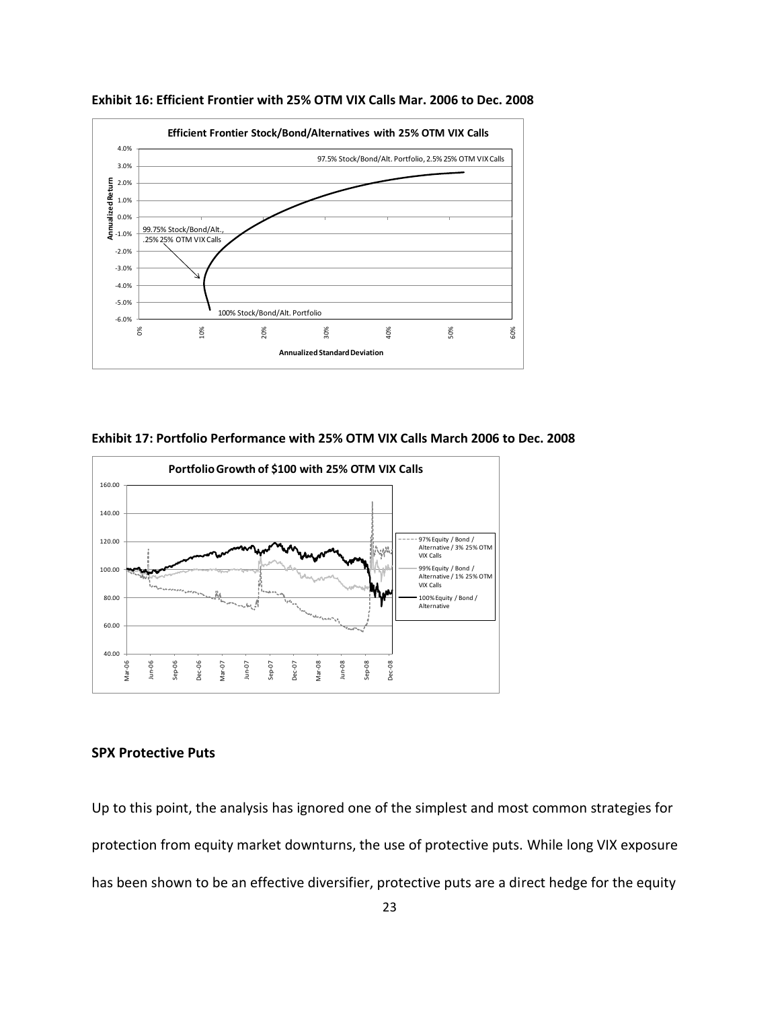

**Exhibit 16: Efficient Frontier with 25% OTM VIX Calls Mar. 2006 to Dec. 2008**

**Exhibit 17: Portfolio Performance with 25% OTM VIX Calls March 2006 to Dec. 2008**



#### **SPX Protective Puts**

Up to this point, the analysis has ignored one of the simplest and most common strategies for protection from equity market downturns, the use of protective puts. While long VIX exposure has been shown to be an effective diversifier, protective puts are a direct hedge for the equity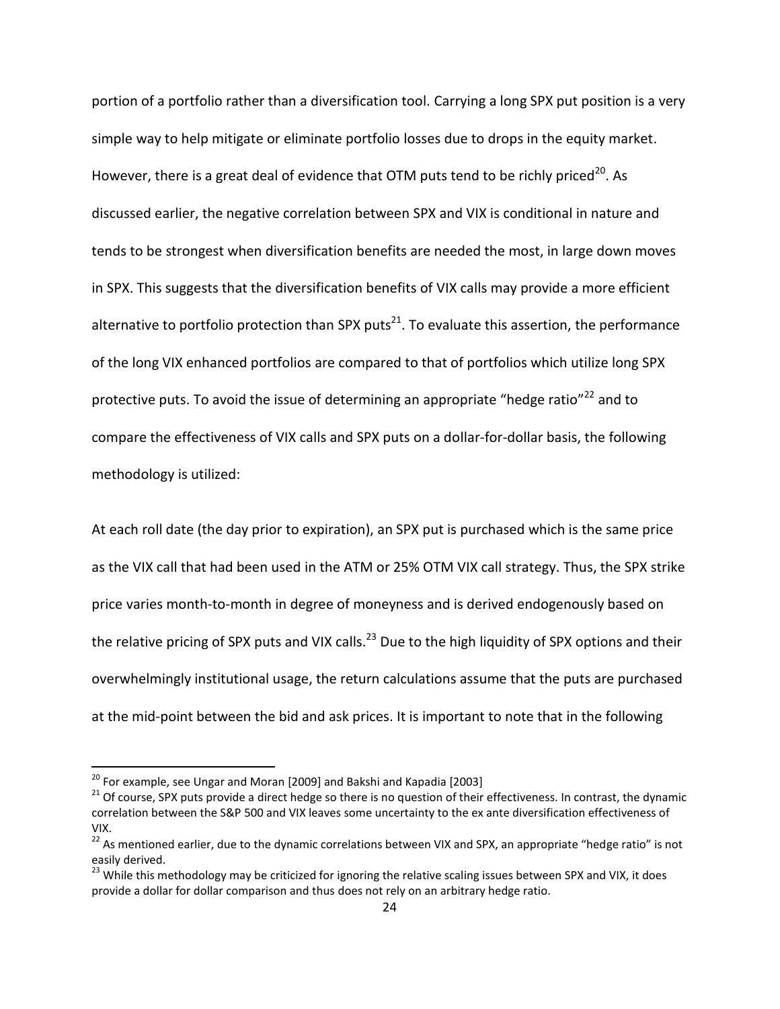portion of a portfolio rather than a diversification tool. Carrying a long SPX put position is a very simple way to help mitigate or eliminate portfolio losses due to drops in the equity market. However, there is a great deal of evidence that OTM puts tend to be richly priced<sup>20</sup>. As discussed earlier, the negative correlation between SPX and VIX is conditional in nature and tends to be strongest when diversification benefits are needed the most, in large down moves in SPX. This suggests that the diversification benefits of VIX calls may provide a more efficient alternative to portfolio protection than SPX puts<sup>21</sup>. To evaluate this assertion, the performance of the long VIX enhanced portfolios are compared to that of portfolios which utilize long SPX protective puts. To avoid the issue of determining an appropriate "hedge ratio"<sup>22</sup> and to compare the effectiveness of VIX calls and SPX puts on a dollar-for-dollar basis, the following methodology is utilized:

At each roll date (the day prior to expiration), an SPX put is purchased which is the same price as the VIX call that had been used in the ATM or 25% OTM VIX call strategy. Thus, the SPX strike price varies month-to-month in degree of moneyness and is derived endogenously based on the relative pricing of SPX puts and VIX calls.<sup>23</sup> Due to the high liquidity of SPX options and their overwhelmingly institutional usage, the return calculations assume that the puts are purchased at the mid-point between the bid and ask prices. It is important to note that in the following

 $\overline{a}$ 

 $^{20}$  For example, see Ungar and Moran [2009] and Bakshi and Kapadia [2003]

<sup>&</sup>lt;sup>21</sup> Of course, SPX puts provide a direct hedge so there is no question of their effectiveness. In contrast, the dynamic correlation between the S&P 500 and VIX leaves some uncertainty to the ex ante diversification effectiveness of VIX.

<sup>&</sup>lt;sup>22</sup> As mentioned earlier, due to the dynamic correlations between VIX and SPX, an appropriate "hedge ratio" is not easily derived.

<sup>&</sup>lt;sup>23</sup> While this methodology may be criticized for ignoring the relative scaling issues between SPX and VIX, it does provide a dollar for dollar comparison and thus does not rely on an arbitrary hedge ratio.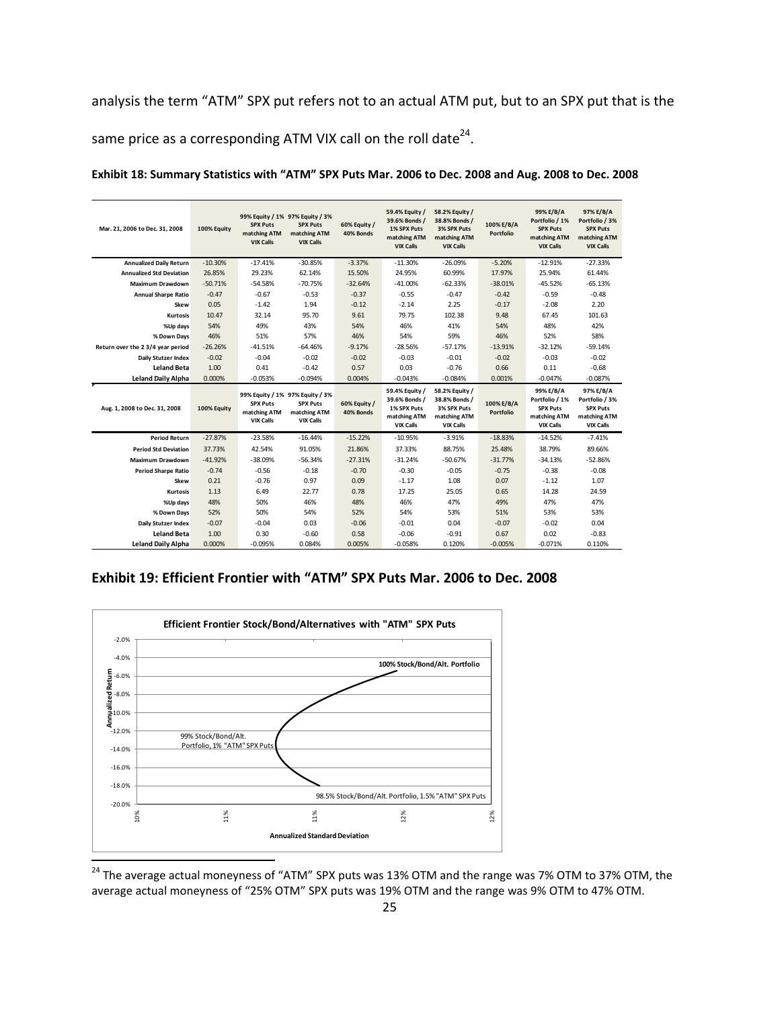analysis the term "ATM" SPX put refers not to an actual ATM put, but to an SPX put that is the same price as a corresponding ATM VIX call on the roll date<sup>24</sup>.

| Mar. 21, 2006 to Dec. 31, 2008    | 100% Equity | 99% Equity / 1% 97% Equity / 3%<br><b>SPX Puts</b><br>matching ATM<br><b>VIX Calls</b> | <b>SPX Puts</b><br>matching ATM<br><b>VIX Calls</b> | 60% Equity /<br>40% Bonds | 59.4% Equity /<br>39.6% Bonds /<br>1% SPX Puts<br>matching ATM<br><b>VIX Calls</b> | 58.2% Equity /<br>38.8% Bonds /<br>3% SPX Puts<br>matching ATM<br><b>VIX Calls</b> | 100% E/B/A<br>Portfolio | 99% E/B/A<br>Portfolio / 1%<br><b>SPX Puts</b><br>matching ATM<br><b>VIX Calls</b> | 97% E/B/A<br>Portfolio / 3%<br><b>SPX Puts</b><br>matching ATM<br><b>VIX Calls</b> |
|-----------------------------------|-------------|----------------------------------------------------------------------------------------|-----------------------------------------------------|---------------------------|------------------------------------------------------------------------------------|------------------------------------------------------------------------------------|-------------------------|------------------------------------------------------------------------------------|------------------------------------------------------------------------------------|
| <b>Annualized Daily Return</b>    | $-10.30%$   | $-17.41%$                                                                              | $-30.85%$                                           | $-3.37%$                  | $-11.30%$                                                                          | $-26.09%$                                                                          | $-5.20%$                | $-12.91%$                                                                          | $-27.33%$                                                                          |
| <b>Annualized Std Deviation</b>   | 26.85%      | 29.23%                                                                                 | 62.14%                                              | 15.50%                    | 24.95%                                                                             | 60.99%                                                                             | 17.97%                  | 25.94%                                                                             | 61.44%                                                                             |
| Maximum Drawdown                  | $-50.71%$   | $-54.58%$                                                                              | $-70.75%$                                           | $-32.64%$                 | $-41.00%$                                                                          | $-62.33%$                                                                          | $-38.01%$               | $-45.52%$                                                                          | $-65.13%$                                                                          |
| <b>Annual Sharpe Ratio</b>        | $-0.47$     | $-0.67$                                                                                | $-0.53$                                             | $-0.37$                   | $-0.55$                                                                            | $-0.47$                                                                            | $-0.42$                 | $-0.59$                                                                            | $-0.48$                                                                            |
| Skew                              | 0.05        | $-1.42$                                                                                | 1.94                                                | $-0.12$                   | $-2.14$                                                                            | 2.25                                                                               | $-0.17$                 | $-2.08$                                                                            | 2.20                                                                               |
| <b>Kurtosis</b>                   | 10.47       | 32.14                                                                                  | 95.70                                               | 9.61                      | 79.75                                                                              | 102.38                                                                             | 9.48                    | 67.45                                                                              | 101.63                                                                             |
| %Up days                          | 54%         | 49%                                                                                    | 43%                                                 | 54%                       | 46%                                                                                | 41%                                                                                | 54%                     | 48%                                                                                | 42%                                                                                |
| % Down Days                       | 46%         | 51%                                                                                    | 57%                                                 | 46%                       | 54%                                                                                | 59%                                                                                | 46%                     | 52%                                                                                | 58%                                                                                |
| Return over the 2 3/4 year period | $-26.26%$   | $-41.51%$                                                                              | $-64.46%$                                           | $-9.17%$                  | $-28.56%$                                                                          | $-57.17%$                                                                          | $-13.91%$               | $-32.12%$                                                                          | $-59.14%$                                                                          |
| Daily Stutzer Index               | $-0.02$     | $-0.04$                                                                                | $-0.02$                                             | $-0.02$                   | $-0.03$                                                                            | $-0.01$                                                                            | $-0.02$                 | $-0.03$                                                                            | $-0.02$                                                                            |
| <b>Leland Beta</b>                | 1.00        | 0.41                                                                                   | $-0.42$                                             | 0.57                      | 0.03                                                                               | $-0.76$                                                                            | 0.66                    | 0.11                                                                               | $-0.68$                                                                            |
| <b>Leland Daily Alpha</b>         | 0.000%      | $-0.053%$                                                                              | $-0.094%$                                           | 0.004%                    | $-0.043%$                                                                          | $-0.084%$                                                                          | 0.001%                  | $-0.047%$                                                                          | $-0.087%$                                                                          |
| Aug. 1, 2008 to Dec. 31, 2008     | 100% Equity | 99% Equity / 1% 97% Equity / 3%<br><b>SPX Puts</b><br>matching ATM<br><b>VIX Calls</b> | <b>SPX Puts</b><br>matching ATM<br><b>VIX Calls</b> | 60% Equity /<br>40% Bonds | 59.4% Equity /<br>39.6% Bonds /<br>1% SPX Puts<br>matching ATM<br><b>VIX Calls</b> | 58.2% Equity /<br>38.8% Bonds /<br>3% SPX Puts<br>matching ATM<br><b>VIX Calls</b> | 100% E/B/A<br>Portfolio | 99% E/B/A<br>Portfolio / 1%<br><b>SPX Puts</b><br>matching ATM<br><b>VIX Calls</b> | 97% E/B/A<br>Portfolio / 3%<br><b>SPX Puts</b><br>matching ATM<br><b>VIX Calls</b> |
| <b>Period Return</b>              | $-27.87%$   | $-23.58%$                                                                              | $-16.44%$                                           | $-15.22%$                 | $-10.95%$                                                                          | $-3.91%$                                                                           | $-18.83%$               | $-14.52%$                                                                          | $-7.41%$                                                                           |
| <b>Period Std Deviation</b>       | 37.73%      | 42.54%                                                                                 | 91.05%                                              | 21.86%                    | 37.33%                                                                             | 88.75%                                                                             | 25.48%                  | 38.79%                                                                             | 89.66%                                                                             |
| <b>Maximum Drawdown</b>           | $-41.92%$   | $-38.09%$                                                                              | $-56.34%$                                           | $-27.31%$                 | $-31.24%$                                                                          | $-50.67%$                                                                          | $-31.77%$               | $-34.13%$                                                                          | $-52.86%$                                                                          |
| <b>Period Sharpe Ratio</b>        | $-0.74$     | $-0.56$                                                                                | $-0.18$                                             | $-0.70$                   | $-0.30$                                                                            | $-0.05$                                                                            | $-0.75$                 | $-0.38$                                                                            | $-0.08$                                                                            |
| Skew                              | 0.21        | $-0.76$                                                                                | 0.97                                                | 0.09                      | $-1.17$                                                                            | 1.08                                                                               | 0.07                    | $-1.12$                                                                            | 1.07                                                                               |
| <b>Kurtosis</b>                   | 1.13        | 6.49                                                                                   | 22.77                                               | 0.78                      | 17.25                                                                              | 25.05                                                                              | 0.65                    | 14.28                                                                              | 24.59                                                                              |
| %Up days                          | 48%         | 50%                                                                                    | 46%                                                 | 48%                       | 46%                                                                                | 47%                                                                                | 49%                     | 47%                                                                                | 47%                                                                                |
| % Down Days                       | 52%         | 50%                                                                                    | 54%                                                 | 52%                       | 54%                                                                                | 53%                                                                                | 51%                     | 53%                                                                                | 53%                                                                                |
| Daily Stutzer Index               | $-0.07$     | $-0.04$                                                                                | 0.03                                                | $-0.06$                   | $-0.01$                                                                            | 0.04                                                                               | $-0.07$                 | $-0.02$                                                                            | 0.04                                                                               |
| <b>Leland Beta</b>                | 1.00        | 0.30                                                                                   | $-0.60$                                             | 0.58                      | $-0.06$                                                                            | $-0.91$                                                                            | 0.67                    | 0.02                                                                               | $-0.83$                                                                            |
| <b>Leland Daily Alpha</b>         | 0.000%      | $-0.095%$                                                                              | 0.084%                                              | 0.005%                    | $-0.058%$                                                                          | 0.120%                                                                             | $-0.005%$               | $-0.071%$                                                                          | 0.110%                                                                             |

**Exhibit 18: Summary Statistics with "ATM" SPX Puts Mar. 2006 to Dec. 2008 and Aug. 2008 to Dec. 2008**

**Exhibit 19: Efficient Frontier with "ATM" SPX Puts Mar. 2006 to Dec. 2008**



 $^{24}$  The average actual moneyness of "ATM" SPX puts was 13% OTM and the range was 7% OTM to 37% OTM, the average actual moneyness of "25% OTM" SPX puts was 19% OTM and the range was 9% OTM to 47% OTM.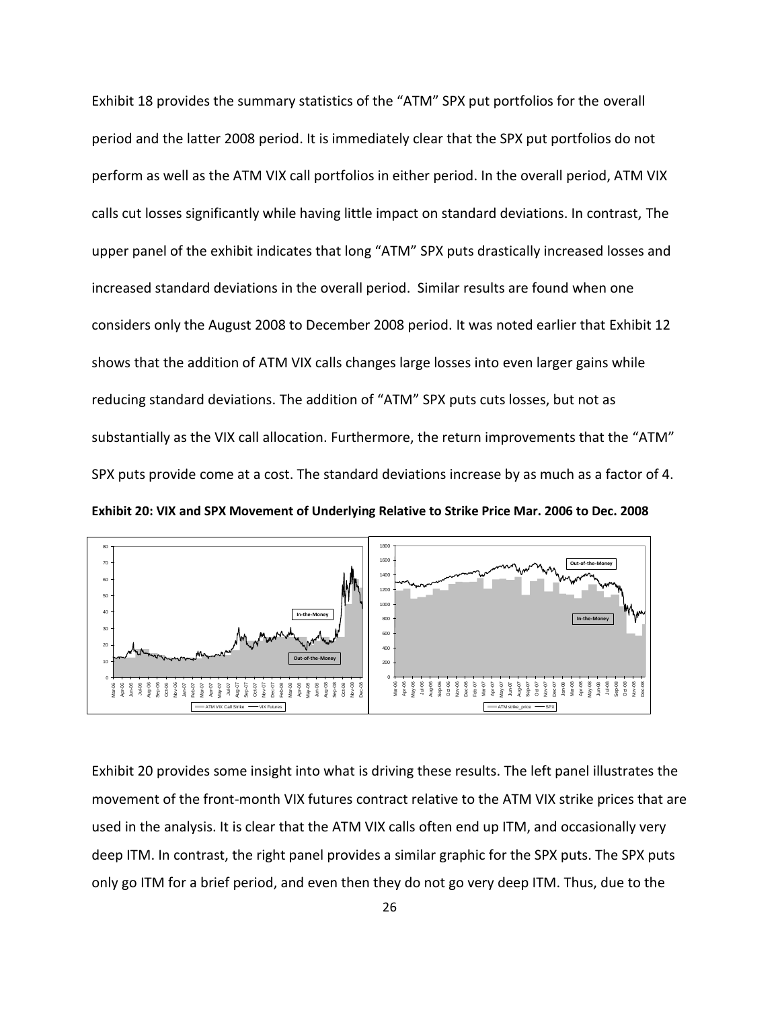Exhibit 18 provides the summary statistics of the "ATM" SPX put portfolios for the overall period and the latter 2008 period. It is immediately clear that the SPX put portfolios do not perform as well as the ATM VIX call portfolios in either period. In the overall period, ATM VIX calls cut losses significantly while having little impact on standard deviations. In contrast, The upper panel of the exhibit indicates that long "ATM" SPX puts drastically increased losses and increased standard deviations in the overall period. Similar results are found when one considers only the August 2008 to December 2008 period. It was noted earlier that Exhibit 12 shows that the addition of ATM VIX calls changes large losses into even larger gains while reducing standard deviations. The addition of "ATM" SPX puts cuts losses, but not as substantially as the VIX call allocation. Furthermore, the return improvements that the "ATM" SPX puts provide come at a cost. The standard deviations increase by as much as a factor of 4.

**Exhibit 20: VIX and SPX Movement of Underlying Relative to Strike Price Mar. 2006 to Dec. 2008**



Exhibit 20 provides some insight into what is driving these results. The left panel illustrates the movement of the front-month VIX futures contract relative to the ATM VIX strike prices that are used in the analysis. It is clear that the ATM VIX calls often end up ITM, and occasionally very deep ITM. In contrast, the right panel provides a similar graphic for the SPX puts. The SPX puts only go ITM for a brief period, and even then they do not go very deep ITM. Thus, due to the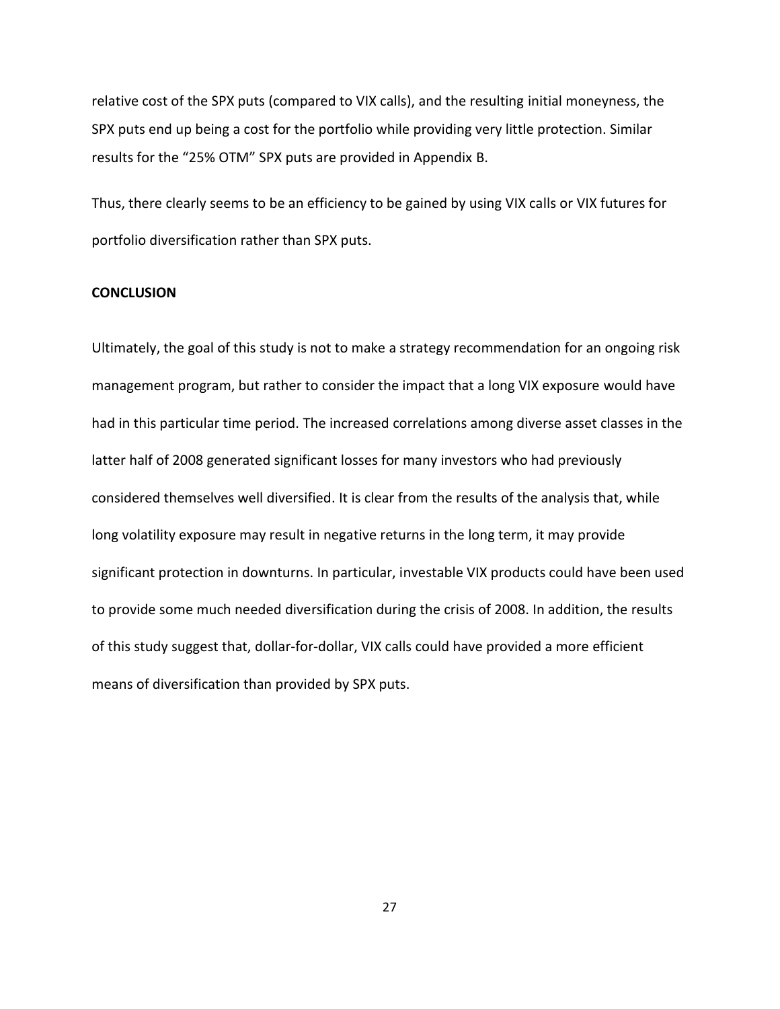relative cost of the SPX puts (compared to VIX calls), and the resulting initial moneyness, the SPX puts end up being a cost for the portfolio while providing very little protection. Similar results for the "25% OTM" SPX puts are provided in Appendix B.

Thus, there clearly seems to be an efficiency to be gained by using VIX calls or VIX futures for portfolio diversification rather than SPX puts.

## **CONCLUSION**

Ultimately, the goal of this study is not to make a strategy recommendation for an ongoing risk management program, but rather to consider the impact that a long VIX exposure would have had in this particular time period. The increased correlations among diverse asset classes in the latter half of 2008 generated significant losses for many investors who had previously considered themselves well diversified. It is clear from the results of the analysis that, while long volatility exposure may result in negative returns in the long term, it may provide significant protection in downturns. In particular, investable VIX products could have been used to provide some much needed diversification during the crisis of 2008. In addition, the results of this study suggest that, dollar-for-dollar, VIX calls could have provided a more efficient means of diversification than provided by SPX puts.

27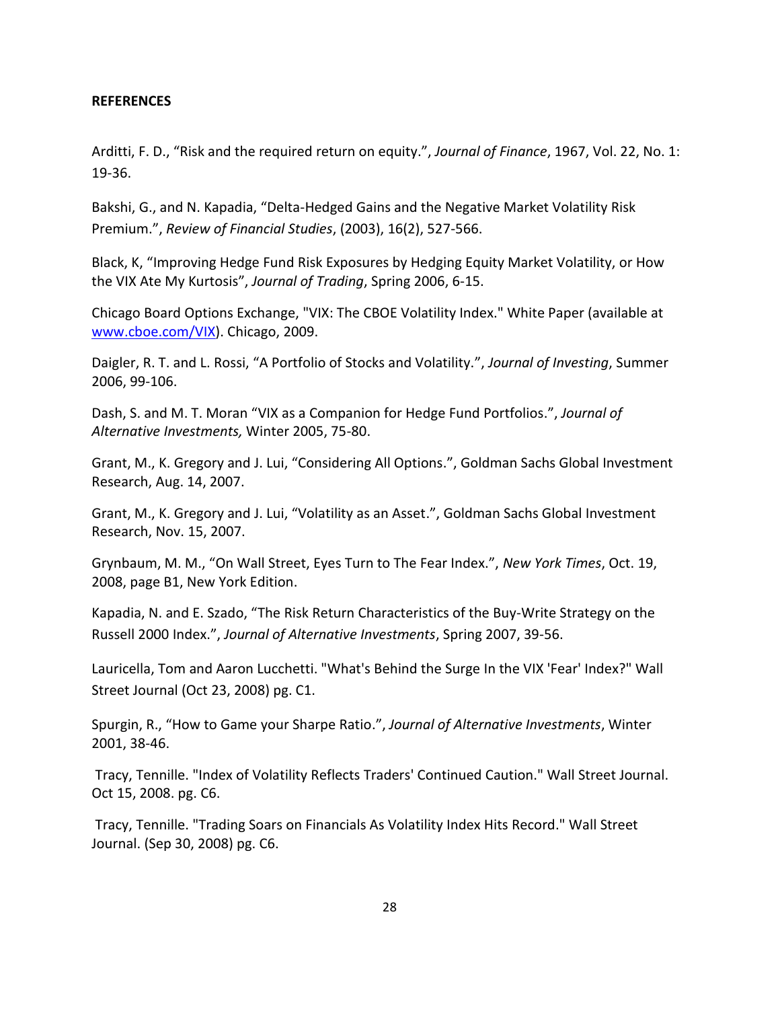## **REFERENCES**

Arditti, F. D., "Risk and the required return on equity.", *Journal of Finance*, 1967, Vol. 22, No. 1: 19-36.

Bakshi, G., and N. Kapadia, "Delta-Hedged Gains and the Negative Market Volatility Risk Premium.", *Review of Financial Studies*, (2003), 16(2), 527-566.

Black, K, "Improving Hedge Fund Risk Exposures by Hedging Equity Market Volatility, or How the VIX Ate My Kurtosis", *Journal of Trading*, Spring 2006, 6-15.

Chicago Board Options Exchange, "VIX: The CBOE Volatility Index." White Paper (available at [www.cboe.com/VIX\)](http://www.cboe.com/VIX). Chicago, 2009.

Daigler, R. T. and L. Rossi, "A Portfolio of Stocks and Volatility.", *Journal of Investing*, Summer 2006, 99-106.

Dash, S. and M. T. Moran "VIX as a Companion for Hedge Fund Portfolios.", *Journal of Alternative Investments,* Winter 2005, 75-80.

Grant, M., K. Gregory and J. Lui, "Considering All Options.", Goldman Sachs Global Investment Research, Aug. 14, 2007.

Grant, M., K. Gregory and J. Lui, "Volatility as an Asset.", Goldman Sachs Global Investment Research, Nov. 15, 2007.

Grynbaum, M. M., "On Wall Street, Eyes Turn to The Fear Index.", *New York Times*, Oct. 19, 2008, page B1, New York Edition.

Kapadia, N. and E. Szado, "The Risk Return Characteristics of the Buy-Write Strategy on the Russell 2000 Index.", *Journal of Alternative Investments*, Spring 2007, 39-56.

Lauricella, Tom and Aaron Lucchetti. "What's Behind the Surge In the VIX 'Fear' Index?" Wall Street Journal (Oct 23, 2008) pg. C1.

Spurgin, R., "How to Game your Sharpe Ratio.", *Journal of Alternative Investments*, Winter 2001, 38-46.

Tracy, Tennille. "Index of Volatility Reflects Traders' Continued Caution." Wall Street Journal. Oct 15, 2008. pg. C6.

Tracy, Tennille. "Trading Soars on Financials As Volatility Index Hits Record." Wall Street Journal. (Sep 30, 2008) pg. C6.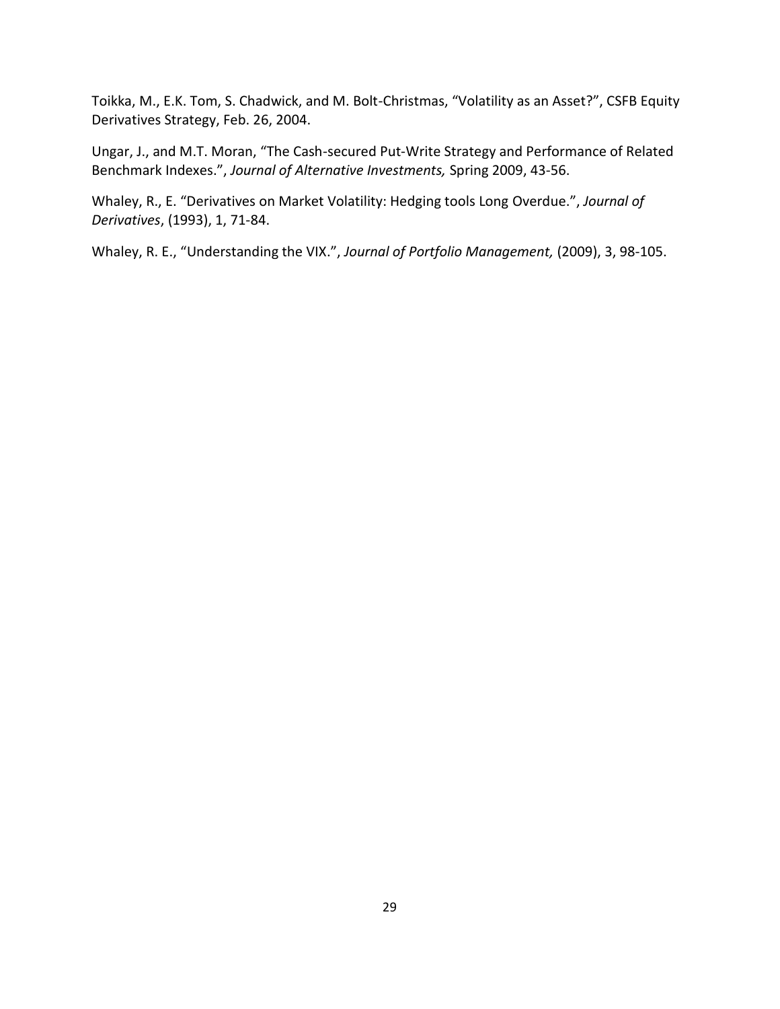Toikka, M., E.K. Tom, S. Chadwick, and M. Bolt-Christmas, "Volatility as an Asset?", CSFB Equity Derivatives Strategy, Feb. 26, 2004.

Ungar, J., and M.T. Moran, "The Cash-secured Put-Write Strategy and Performance of Related Benchmark Indexes.", *Journal of Alternative Investments,* Spring 2009, 43-56.

Whaley, R., E. "Derivatives on Market Volatility: Hedging tools Long Overdue.", *Journal of Derivatives*, (1993), 1, 71-84.

Whaley, R. E., "Understanding the VIX.", *Journal of Portfolio Management,* (2009), 3, 98-105.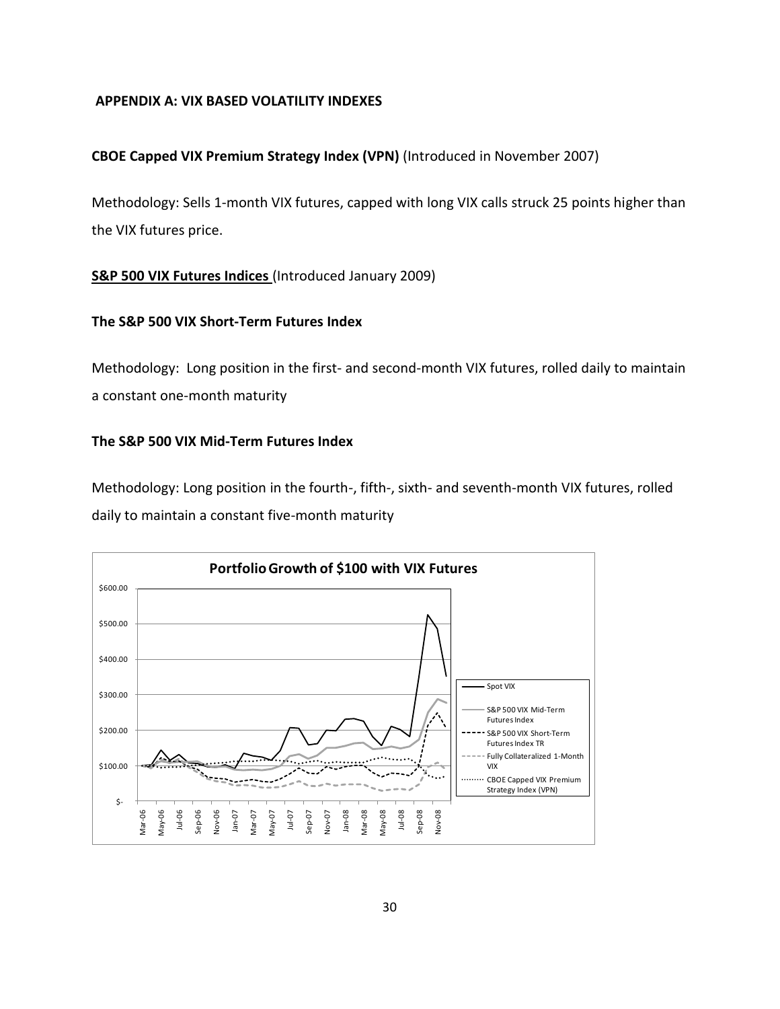## **APPENDIX A: VIX BASED VOLATILITY INDEXES**

## **CBOE Capped VIX Premium Strategy Index (VPN)** (Introduced in November 2007)

Methodology: Sells 1-month VIX futures, capped with long VIX calls struck 25 points higher than the VIX futures price.

## **S&P 500 VIX Futures Indices** (Introduced January 2009)

## **The S&P 500 VIX Short-Term Futures Index**

Methodology: Long position in the first- and second-month VIX futures, rolled daily to maintain a constant one-month maturity

## **The S&P 500 VIX Mid-Term Futures Index**

Methodology: Long position in the fourth-, fifth-, sixth- and seventh-month VIX futures, rolled daily to maintain a constant five-month maturity